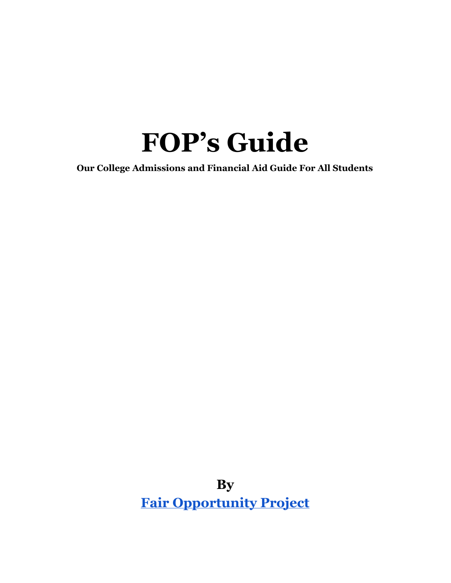# **FOP's Guide**

**Our College Admissions and Financial Aid Guide For All Students**

**By [Fair Opportunity Project](http://www.fairopportunityproject.com/)**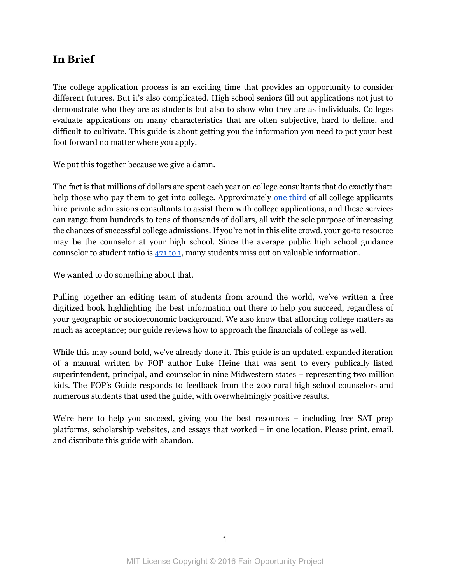#### **In Brief**

The college application process is an exciting time that provides an opportunity to consider different futures. But it's also complicated. High school seniors fill out applications not just to demonstrate who they are as students but also to show who they are as individuals. Colleges evaluate applications on many characteristics that are often subjective, hard to define, and difficult to cultivate. This guide is about getting you the information you need to put your best foot forward no matter where you apply.

We put this together because we give a damn.

The fact is that millions of dollars are spent each year on college consultants that do exactly that: help those who pay them to get into college. Approximately <u>one [third](http://www.huffingtonpost.com/ruth-starkman/private-college-admissions-consulting_b_3625632.html)</u> of all college applicants hire private admissions consultants to assist them with college applications, and these services can range from hundreds to tens of thousands of dollars, all with the sole purpose of increasing the chances of successful college admissions. If you're not in this elite crowd, your go-to resource may be the counselor at your high school. Since the average public high school guidance counselor to student ratio is  $471$  to 1, many students miss out on valuable information.

We wanted to do something about that.

Pulling together an editing team of students from around the world, we've written a free digitized book highlighting the best information out there to help you succeed, regardless of your geographic or socioeconomic background. We also know that affording college matters as much as acceptance; our guide reviews how to approach the financials of college as well.

While this may sound bold, we've already done it. This guide is an updated, expanded iteration of a manual written by FOP author Luke Heine that was sent to every publically listed superintendent, principal, and counselor in nine Midwestern states – representing two million kids. The FOP's Guide responds to feedback from the 200 rural high school counselors and numerous students that used the guide, with overwhelmingly positive results.

We're here to help you succeed, giving you the best resources – including free SAT prep platforms, scholarship websites, and essays that worked – in one location. Please print, email, and distribute this guide with abandon.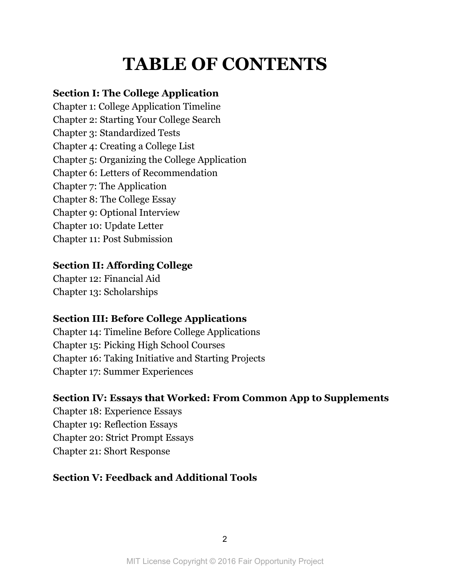# **TABLE OF CONTENTS**

#### **Section I: The College Application**

Chapter 1: College Application Timeline Chapter 2: Starting Your College Search Chapter 3: Standardized Tests Chapter 4: Creating a College List Chapter 5: Organizing the College Application Chapter 6: Letters of Recommendation Chapter 7: The Application Chapter 8: The College Essay Chapter 9: Optional Interview Chapter 10: Update Letter Chapter 11: Post Submission

#### **Section II: Affording College**

Chapter 12: Financial Aid Chapter 13: Scholarships

#### **Section III: Before College Applications**

Chapter 14: Timeline Before College Applications Chapter 15: Picking High School Courses Chapter 16: Taking Initiative and Starting Projects Chapter 17: Summer Experiences

#### **Section IV: Essays that Worked: From Common App to Supplements**

Chapter 18: Experience Essays Chapter 19: Reflection Essays Chapter 20: Strict Prompt Essays Chapter 21: Short Response

#### **Section V: Feedback and Additional Tools**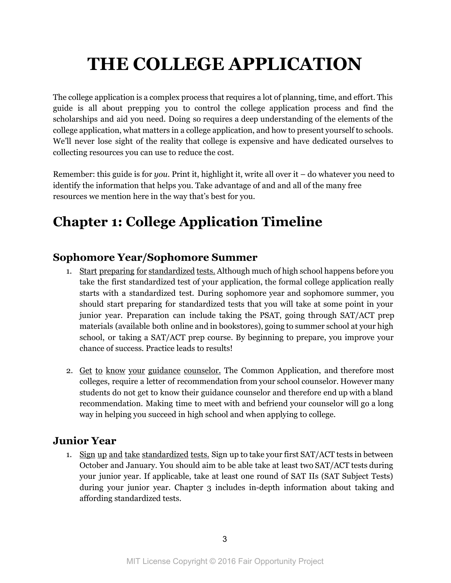# **THE COLLEGE APPLICATION**

The college application is a complex process that requires a lot of planning, time, and effort. This guide is all about prepping you to control the college application process and find the scholarships and aid you need. Doing so requires a deep understanding of the elements of the college application, what matters in a college application, and how to present yourself to schools. We'll never lose sight of the reality that college is expensive and have dedicated ourselves to collecting resources you can use to reduce the cost.

Remember: this guide is for *you*. Print it, highlight it, write all over it – do whatever you need to identify the information that helps you. Take advantage of and and all of the many free resources we mention here in the way that's best for you.

# **Chapter 1: College Application Timeline**

#### **Sophomore Year/Sophomore Summer**

- 1. Start preparing for standardized tests. Although much of high school happens before you take the first standardized test of your application, the formal college application really starts with a standardized test. During sophomore year and sophomore summer, you should start preparing for standardized tests that you will take at some point in your junior year. Preparation can include taking the PSAT, going through SAT/ACT prep materials (available both online and in bookstores), going to summer school at your high school, or taking a SAT/ACT prep course. By beginning to prepare, you improve your chance of success. Practice leads to results!
- 2. Get to know your guidance counselor. The Common Application, and therefore most colleges, require a letter of recommendation from your school counselor. However many students do not get to know their guidance counselor and therefore end up with a bland recommendation. Making time to meet with and befriend your counselor will go a long way in helping you succeed in high school and when applying to college.

#### **Junior Year**

1. Sign up and take standardized tests. Sign up to take your first SAT/ACT tests in between October and January. You should aim to be able take at least two SAT/ACT tests during your junior year. If applicable, take at least one round of SAT IIs (SAT Subject Tests) during your junior year. Chapter 3 includes in-depth information about taking and affording standardized tests.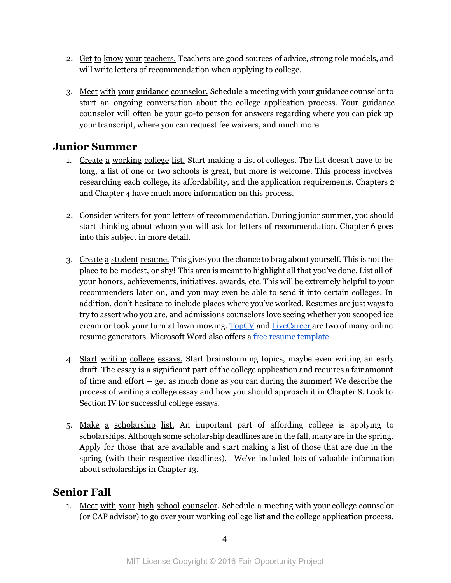- 2. Get to know your teachers. Teachers are good sources of advice, strong role models, and will write letters of recommendation when applying to college.
- 3. Meet with your guidance counselor. Schedule a meeting with your guidance counselor to start an ongoing conversation about the college application process. Your guidance counselor will often be your go-to person for answers regarding where you can pick up your transcript, where you can request fee waivers, and much more.

#### **Junior Summer**

- 1. Create a working college list. Start making a list of colleges. The list doesn't have to be long, a list of one or two schools is great, but more is welcome. This process involves researching each college, its affordability, and the application requirements. Chapters 2 and Chapter 4 have much more information on this process.
- 2. Consider writers for your letters of recommendation. During junior summer, you should start thinking about whom you will ask for letters of recommendation. Chapter 6 goes into this subject in more detail.
- 3. Create a student resume. This gives you the chance to brag about yourself. This is not the place to be modest, or shy! This area is meant to highlight all that you've done. List all of your honors, achievements, initiatives, awards, etc. This will be extremely helpful to your recommenders later on, and you may even be able to send it into certain colleges. In addition, don't hesitate to include places where you've worked. Resumes are just ways to try to assert who you are, and admissions counselors love seeing whether you scooped ice cream or took your turn at lawn mowing. [TopCV](https://www.topcv.me/) and [LiveCareer](https://www.livecareer.com/) are two of many online resume generators. Microsoft Word also offers a [free resume](https://templates.office.com/?legRedir=true&CorrelationId=be93abd3-671a-4e2a-8358-ba2927986a72&ui=en-US&rs=en-US&ad=US&fromAR=1) template.
- 4. Start writing college essays. Start brainstorming topics, maybe even writing an early draft. The essay is a significant part of the college application and requires a fair amount of time and effort – get as much done as you can during the summer! We describe the process of writing a college essay and how you should approach it in Chapter 8. Look to Section IV for successful college essays.
- 5. Make a scholarship list. An important part of affording college is applying to scholarships. Although some scholarship deadlines are in the fall, many are in the spring. Apply for those that are available and start making a list of those that are due in the spring (with their respective deadlines). We've included lots of valuable information about scholarships in Chapter 13.

#### **Senior Fall**

1. Meet with your high school counselor. Schedule a meeting with your college counselor (or CAP advisor) to go over your working college list and the college application process.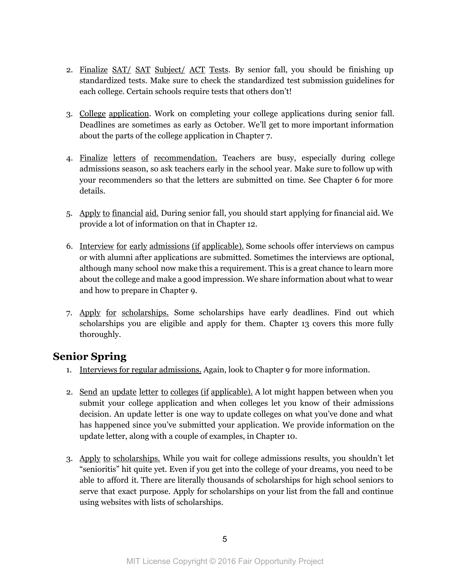- 2. Finalize SAT/ SAT Subject/ ACT Tests. By senior fall, you should be finishing up standardized tests. Make sure to check the standardized test submission guidelines for each college. Certain schools require tests that others don't!
- 3. College application. Work on completing your college applications during senior fall. Deadlines are sometimes as early as October. We'll get to more important information about the parts of the college application in Chapter 7.
- 4. Finalize letters of recommendation. Teachers are busy, especially during college admissions season, so ask teachers early in the school year. Make sure to follow up with your recommenders so that the letters are submitted on time. See Chapter 6 for more details.
- 5. Apply to financial aid. During senior fall, you should start applying for financial aid. We provide a lot of information on that in Chapter 12.
- 6. Interview for early admissions (if applicable). Some schools offer interviews on campus or with alumni after applications are submitted. Sometimes the interviews are optional, although many school now make this a requirement. This is a great chance to learn more about the college and make a good impression. We share information about what to wear and how to prepare in Chapter 9.
- 7. Apply for scholarships. Some scholarships have early deadlines. Find out which scholarships you are eligible and apply for them. Chapter 13 covers this more fully thoroughly.

#### **Senior Spring**

- 1. Interviews for regular admissions. Again, look to Chapter 9 for more information.
- 2. Send an update letter to colleges (if applicable). A lot might happen between when you submit your college application and when colleges let you know of their admissions decision. An update letter is one way to update colleges on what you've done and what has happened since you've submitted your application. We provide information on the update letter, along with a couple of examples, in Chapter 10.
- 3. Apply to scholarships. While you wait for college admissions results, you shouldn't let "senioritis" hit quite yet. Even if you get into the college of your dreams, you need to be able to afford it. There are literally thousands of scholarships for high school seniors to serve that exact purpose. Apply for scholarships on your list from the fall and continue using websites with lists of scholarships.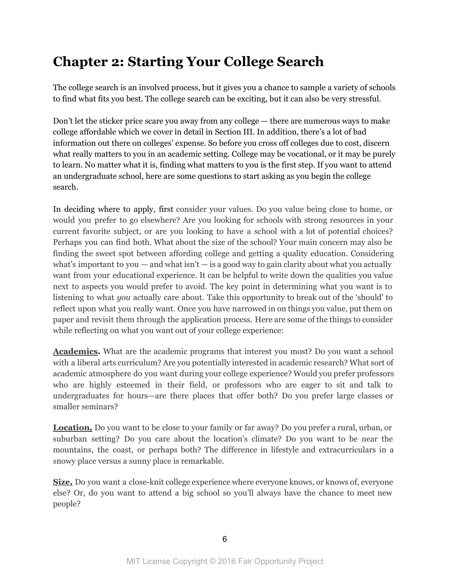# **Chapter 2: Starting Your College Search**

The college search is an involved process, but it gives you a chance to sample a variety of schools to find what fits you best. The college search can be exciting, but it can also be very stressful.

Don't let the sticker price scare you away from any college — there are numerous ways to make college affordable which we cover in detail in Section III. In addition, there's a lot of bad information out there on colleges' expense. So before you cross off colleges due to cost, discern what really matters to you in an academic setting. College may be vocational, or it may be purely to learn. No matter what it is, finding what matters to you is the first step. If you want to attend an undergraduate school, here are some questions to start asking as you begin the college search.

In deciding where to apply, first consider your values. Do you value being close to home, or would you prefer to go elsewhere? Are you looking for schools with strong resources in your current favorite subject, or are you looking to have a school with a lot of potential choices? Perhaps you can find both. What about the size of the school? Your main concern may also be finding the sweet spot between affording college and getting a quality education. Considering what's important to you  $-$  and what isn't  $-$  is a good way to gain clarity about what you actually want from your educational experience. It can be helpful to write down the qualities you value next to aspects you would prefer to avoid. The key point in determining what you want is to listening to what *you* actually care about. Take this opportunity to break out of the 'should' to reflect upon what you really want. Once you have narrowed in on things you value, put them on paper and revisit them through the application process. Here are some of the things to consider while reflecting on what you want out of your college experience:

**Academics.** What are the academic programs that interest you most? Do you want a school with a liberal arts curriculum? Are you potentially interested in academic research? What sort of academic atmosphere do you want during your college experience? Would you prefer professors who are highly esteemed in their field, or professors who are eager to sit and talk to undergraduates for hours—are there places that offer both? Do you prefer large classes or smaller seminars?

**Location.** Do you want to be close to your family or far away? Do you prefer a rural, urban, or suburban setting? Do you care about the location's climate? Do you want to be near the mountains, the coast, or perhaps both? The difference in lifestyle and extracurriculars in a snowy place versus a sunny place is remarkable.

**Size.** Do you want a close-knit college experience where everyone knows, or knows of, everyone else? Or, do you want to attend a big school so you'll always have the chance to meet new people?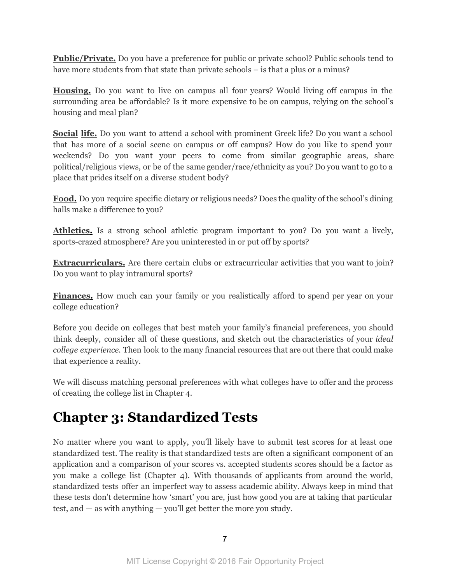**Public/Private.** Do you have a preference for public or private school? Public schools tend to have more students from that state than private schools – is that a plus or a minus?

**Housing.** Do you want to live on campus all four years? Would living off campus in the surrounding area be affordable? Is it more expensive to be on campus, relying on the school's housing and meal plan?

**Social life.** Do you want to attend a school with prominent Greek life? Do you want a school that has more of a social scene on campus or off campus? How do you like to spend your weekends? Do you want your peers to come from similar geographic areas, share political/religious views, or be of the same gender/race/ethnicity as you? Do you want to go to a place that prides itself on a diverse student body?

**Food.** Do you require specific dietary or religious needs? Does the quality of the school's dining halls make a difference to you?

**Athletics.** Is a strong school athletic program important to you? Do you want a lively, sports-crazed atmosphere? Are you uninterested in or put off by sports?

**Extracurriculars.** Are there certain clubs or extracurricular activities that you want to join? Do you want to play intramural sports?

**Finances.** How much can your family or you realistically afford to spend per year on your college education?

Before you decide on colleges that best match your family's financial preferences, you should think deeply, consider all of these questions, and sketch out the characteristics of your *ideal college experience.* Then look to the many financial resources that are out there that could make that experience a reality.

We will discuss matching personal preferences with what colleges have to offer and the process of creating the college list in Chapter 4.

# **Chapter 3: Standardized Tests**

No matter where you want to apply, you'll likely have to submit test scores for at least one standardized test. The reality is that standardized tests are often a significant component of an application and a comparison of your scores vs. accepted students scores should be a factor as you make a college list (Chapter 4). With thousands of applicants from around the world, standardized tests offer an imperfect way to assess academic ability. Always keep in mind that these tests don't determine how 'smart' you are, just how good you are at taking that particular test, and — as with anything — you'll get better the more you study.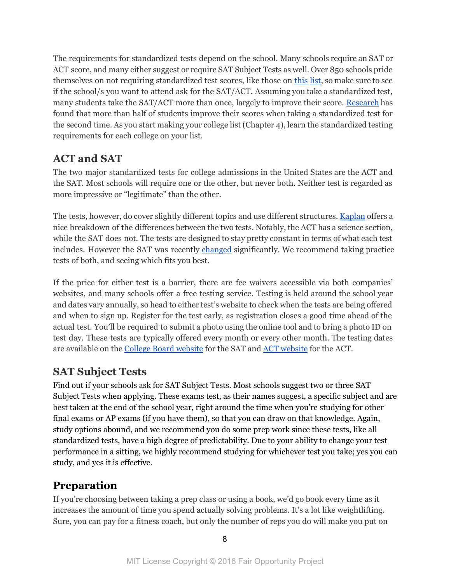The requirements for standardized tests depend on the school. Many schools require an SAT or ACT score, and many either suggest or require SAT Subject Tests as well. Over 850 schools pride themselves on not requiring standardized test scores, like those on [this](http://www.fairtest.org/university/optional) list, so make sure to see if the school/s you want to attend ask for the SAT/ACT. Assuming you take a standardized test, many students take the SAT/ACT more than once, largely to improve their score. [Research](https://research.collegeboard.org/sites/default/files/publications/2012/7/researchnote-1998-5-score-change-retaking-sat.pdf) has found that more than half of students improve their scores when taking a standardized test for the second time. As you start making your college list (Chapter 4), learn the standardized testing requirements for each college on your list.

#### **ACT and SAT**

The two major standardized tests for college admissions in the United States are the ACT and the SAT. Most schools will require one or the other, but never both. Neither test is regarded as more impressive or "legitimate" than the other.

The tests, however, do cover slightly different topics and use different structures. [Kaplan](https://www.kaptest.com/college-prep/test-information/sat-vs-act) offers a nice breakdown of the differences between the two tests. Notably, the ACT has a science section, while the SAT does not. The tests are designed to stay pretty constant in terms of what each test includes. However the SAT was recently [changed](https://collegereadiness.collegeboard.org/sat/inside-the-test/key-changes) significantly. We recommend taking practice tests of both, and seeing which fits you best.

If the price for either test is a barrier, there are fee waivers accessible via both companies' websites, and many schools offer a free testing service. Testing is held around the school year and dates vary annually, so head to either test's website to check when the tests are being offered and when to sign up. Register for the test early, as registration closes a good time ahead of the actual test. You'll be required to submit a photo using the online tool and to bring a photo ID on test day. These tests are typically offered every month or every other month. The testing dates are available on the [College Board website](https://www.collegeboard.org/) for the SAT and [ACT website](http://www.act.org/content/act/en/products-and-services/the-act.html) for the ACT.

### **SAT Subject Tests**

Find out if your schools ask for SAT Subject Tests. Most schools suggest two or three SAT Subject Tests when applying. These exams test, as their names suggest, a specific subject and are best taken at the end of the school year, right around the time when you're studying for other final exams or AP exams (if you have them), so that you can draw on that knowledge. Again, study options abound, and we recommend you do some prep work since these tests, like all standardized tests, have a high degree of predictability. Due to your ability to change your test performance in a sitting, we highly recommend studying for whichever test you take; yes you can study, and yes it is effective.

### **Preparation**

If you're choosing between taking a prep class or using a book, we'd go book every time as it increases the amount of time you spend actually solving problems. It's a lot like weightlifting. Sure, you can pay for a fitness coach, but only the number of reps you do will make you put on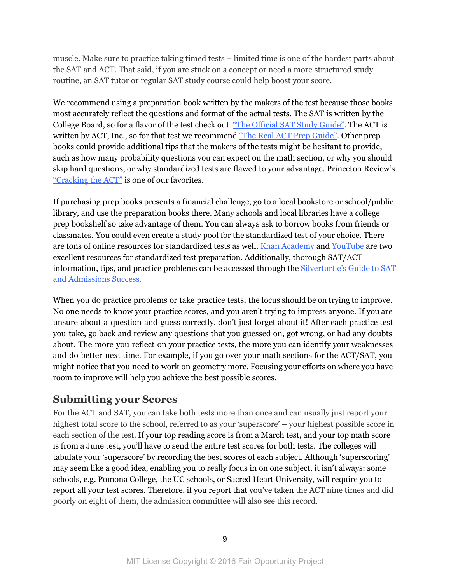muscle. Make sure to practice taking timed tests – limited time is one of the hardest parts about the SAT and ACT. That said, if you are stuck on a concept or need a more structured study routine, an SAT tutor or regular SAT study course could help boost your score.

We recommend using a preparation book written by the makers of the test because those books most accurately reflect the questions and format of the actual tests. The SAT is written by the College Board, so for a flavor of the test check out <u>"The Official SAT Study Guide"</u>. The ACT is written by ACT, Inc., so for that test we recommend ["The Real ACT](http://www.amazon.com/Real-ACT-3rd-Prep-Guide/dp/076893432X) Prep Guide". Other prep books could provide additional tips that the makers of the tests might be hesitant to provide, such as how many probability questions you can expect on the math section, or why you should skip hard questions, or why standardized tests are flawed to your advantage. Princeton Review'[s](http://www.amazon.com/Cracking-Practice-Tests-College-Preparation/dp/1101881984) ["Cracking the ACT"](http://www.amazon.com/Cracking-Practice-Tests-College-Preparation/dp/1101881984) is one of our favorites.

If purchasing prep books presents a financial challenge, go to a local bookstore or school/public library, and use the preparation books there. Many schools and local libraries have a college prep bookshelf so take advantage of them. You can always ask to borrow books from friends or classmates. You could even create a study pool for the standardized test of your choice. There are tons of online resources for standardized tests as well[.](http://khanacademy.com/) [Khan Academy](http://khanacademy.com/) and [YouTube](http://youtube.com/) are two excellent resources for standardized test preparation. Additionally, thorough SAT/ACT information, tips, and practice problems can be accessed through the [Silverturtle's](http://www.fairopportunityproject.com/book/silverturtles.pdf) Guide to SAT [and Admissions Success.](http://www.fairopportunityproject.com/book/silverturtles.pdf)

When you do practice problems or take practice tests, the focus should be on trying to improve. No one needs to know your practice scores, and you aren't trying to impress anyone. If you are unsure about a question and guess correctly, don't just forget about it! After each practice test you take, go back and review any questions that you guessed on, got wrong, or had any doubts about. The more you reflect on your practice tests, the more you can identify your weaknesses and do better next time. For example, if you go over your math sections for the ACT/SAT, you might notice that you need to work on geometry more. Focusing your efforts on where you have room to improve will help you achieve the best possible scores.

#### **Submitting your Scores**

For the ACT and SAT, you can take both tests more than once and can usually just report your highest total score to the school, referred to as your 'superscore' – your highest possible score in each section of the test. If your top reading score is from a March test, and your top math score is from a June test, you'll have to send the entire test scores for both tests. The colleges will tabulate your 'superscore' by recording the best scores of each subject. Although 'superscoring' may seem like a good idea, enabling you to really focus in on one subject, it isn't always: some schools, e.g. Pomona College, the UC schools, or Sacred Heart University, will require you to report all your test scores. Therefore, if you report that you've taken the ACT nine times and did poorly on eight of them, the admission committee will also see this record.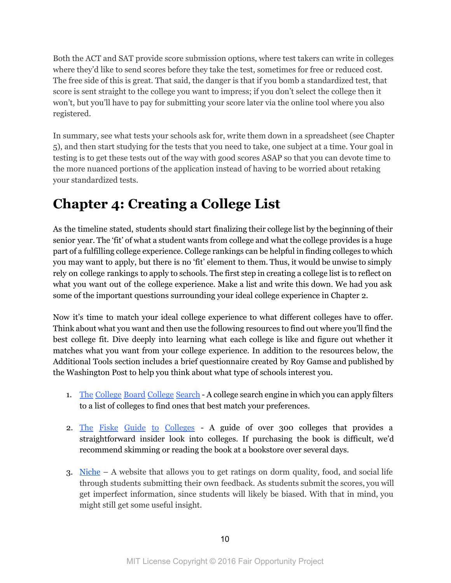Both the ACT and SAT provide score submission options, where test takers can write in colleges where they'd like to send scores before they take the test, sometimes for free or reduced cost. The free side of this is great. That said, the danger is that if you bomb a standardized test, that score is sent straight to the college you want to impress; if you don't select the college then it won't, but you'll have to pay for submitting your score later via the online tool where you also registered.

In summary, see what tests your schools ask for, write them down in a spreadsheet (see Chapter 5), and then start studying for the tests that you need to take, one subject at a time. Your goal in testing is to get these tests out of the way with good scores ASAP so that you can devote time to the more nuanced portions of the application instead of having to be worried about retaking your standardized tests.

# **Chapter 4: Creating a College List**

As the timeline stated, students should start finalizing their college list by the beginning of their senior year. The 'fit' of what a student wants from college and what the college provides is a huge part of a fulfilling college experience. College rankings can be helpful in finding colleges to which you may want to apply, but there is no 'fit' element to them. Thus, it would be unwise to simply rely on college rankings to apply to schools. The first step in creating a college list is to reflect on what you want out of the college experience. Make a list and write this down. We had you ask some of the important questions surrounding your ideal college experience in Chapter 2.

Now it's time to match your ideal college experience to what different colleges have to offer. Think about what you want and then use the following resources to find out where you'll find the best college fit. Dive deeply into learning what each college is like and figure out whether it matches what you want from your college experience. In addition to the resources below, the Additional Tools section includes a brief questionnaire created by Roy Gamse and published by the Washington Post to help you think about what type of schools interest you.

- 1. The [College](https://bigfuture.collegeboard.org/college-search) Board College Search A college search engine in which you can apply filters to a list of colleges to find ones that best match your preferences.
- 2. The Fiske Guide to [Colleges](http://www.fiskeguide.com/) A guide of over 300 colleges that provides a straightforward insider look into colleges. If purchasing the book is difficult, we'd recommend skimming or reading the book at a bookstore over several days.
- 3. [Niche](https://colleges.niche.com/)  $A$  website that allows you to get ratings on dorm quality, food, and social life through students submitting their own feedback. As students submit the scores, you will get imperfect information, since students will likely be biased. With that in mind, you might still get some useful insight.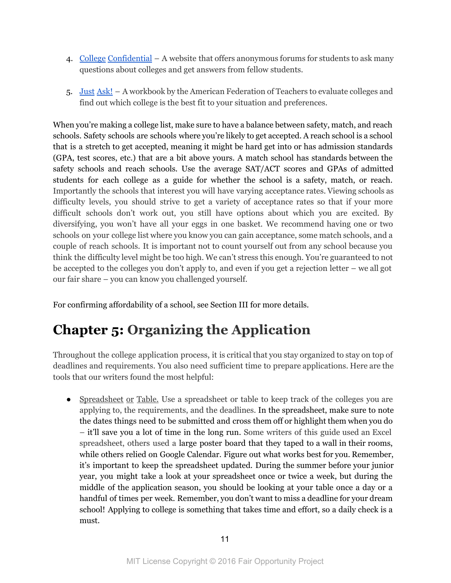- 4. College [Confidential](http://www.collegeconfidential.com/) A website that offers anonymous forums for students to ask many questions about colleges and get answers from fellow students.
- 5. Just [Ask!](http://www.aft.org/sites/default/files/justask_042711.pdf) A workbook by the American Federation of Teachers to evaluate colleges and find out which college is the best fit to your situation and preferences.

When you're making a college list, make sure to have a balance between safety, match, and reach schools. Safety schools are schools where you're likely to get accepted. A reach school is a school that is a stretch to get accepted, meaning it might be hard get into or has admission standards (GPA, test scores, etc.) that are a bit above yours. A match school has standards between the safety schools and reach schools. Use the average SAT/ACT scores and GPAs of admitted students for each college as a guide for whether the school is a safety, match, or reach. Importantly the schools that interest you will have varying acceptance rates. Viewing schools as difficulty levels, you should strive to get a variety of acceptance rates so that if your more difficult schools don't work out, you still have options about which you are excited. By diversifying, you won't have all your eggs in one basket. We recommend having one or two schools on your college list where you know you can gain acceptance, some match schools, and a couple of reach schools. It is important not to count yourself out from any school because you think the difficulty level might be too high. We can't stress this enough. You're guaranteed to not be accepted to the colleges you don't apply to, and even if you get a rejection letter – we all got our fair share – you can know you challenged yourself.

For confirming affordability of a school, see Section III for more details.

# **Chapter 5: Organizing the Application**

Throughout the college application process, it is critical that you stay organized to stay on top of deadlines and requirements. You also need sufficient time to prepare applications. Here are the tools that our writers found the most helpful:

• Spreadsheet or Table. Use a spreadsheet or table to keep track of the colleges you are applying to, the requirements, and the deadlines. In the spreadsheet, make sure to note the dates things need to be submitted and cross them off or highlight them when you do – it'll save you a lot of time in the long run. Some writers of this guide used an Excel spreadsheet, others used a large poster board that they taped to a wall in their rooms, while others relied on Google Calendar. Figure out what works best for you. Remember, it's important to keep the spreadsheet updated. During the summer before your junior year, you might take a look at your spreadsheet once or twice a week, but during the middle of the application season, you should be looking at your table once a day or a handful of times per week. Remember, you don't want to miss a deadline for your dream school! Applying to college is something that takes time and effort, so a daily check is a must.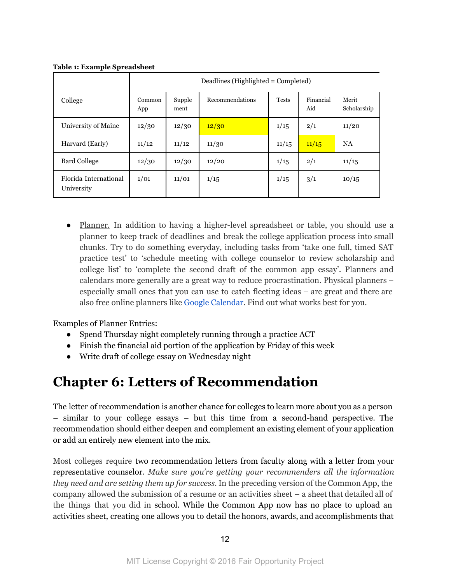|                                     | Deadlines (Highlighted = Completed) |                |                 |              |                  |                      |
|-------------------------------------|-------------------------------------|----------------|-----------------|--------------|------------------|----------------------|
| College                             | Common<br>App                       | Supple<br>ment | Recommendations | <b>Tests</b> | Financial<br>Aid | Merit<br>Scholarship |
| University of Maine                 | 12/30                               | 12/30          | 12/30           | 1/15         | 2/1              | 11/20                |
| Harvard (Early)                     | 11/12                               | 11/12          | 11/30           | 11/15        | 11/15            | NA.                  |
| <b>Bard College</b>                 | 12/30                               | 12/30          | 12/20           | 1/15         | 2/1              | 11/15                |
| Florida International<br>University | 1/01                                | 11/01          | 1/15            | 1/15         | 3/1              | 10/15                |

**Table 1: Example Spreadsheet**

• Planner. In addition to having a higher-level spreadsheet or table, you should use a planner to keep track of deadlines and break the college application process into small chunks. Try to do something everyday, including tasks from 'take one full, timed SAT practice test' to 'schedule meeting with college counselor to review scholarship and college list' to 'complete the second draft of the common app essay'. Planners and calendars more generally are a great way to reduce procrastination. Physical planners – especially small ones that you can use to catch fleeting ideas – are great and there are also free online planners like [Google Calendar.](https://www.google.com/calendar) Find out what works best for you.

Examples of Planner Entries:

- Spend Thursday night completely running through a practice ACT
- Finish the financial aid portion of the application by Friday of this week
- Write draft of college essay on Wednesday night

# **Chapter 6: Letters of Recommendation**

The letter of recommendation is another chance for colleges to learn more about you as a person  $-$  similar to your college essays  $-$  but this time from a second-hand perspective. The recommendation should either deepen and complement an existing element of your application or add an entirely new element into the mix.

Most colleges require two recommendation letters from faculty along with a letter from your representative counselor. *Make sure you're getting your recommenders all the information they need and are setting them up for success*. In the preceding version of the Common App, the company allowed the submission of a resume or an activities sheet – a sheet that detailed all of the things that you did in school. While the Common App now has no place to upload an activities sheet, creating one allows you to detail the honors, awards, and accomplishments that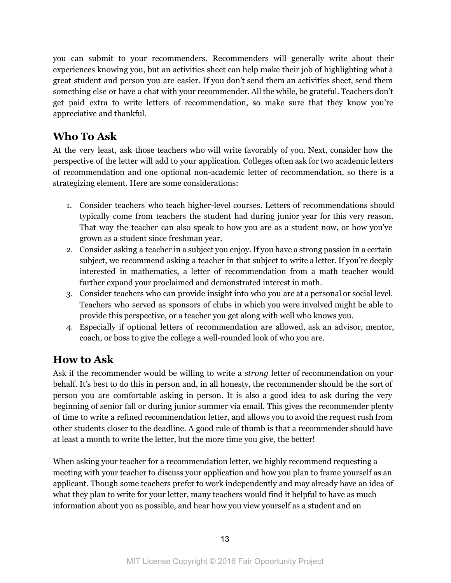you can submit to your recommenders. Recommenders will generally write about their experiences knowing you, but an activities sheet can help make their job of highlighting what a great student and person you are easier. If you don't send them an activities sheet, send them something else or have a chat with your recommender. All the while, be grateful. Teachers don't get paid extra to write letters of recommendation, so make sure that they know you're appreciative and thankful.

#### **Who To Ask**

At the very least, ask those teachers who will write favorably of you. Next, consider how the perspective of the letter will add to your application. Colleges often ask for two academic letters of recommendation and one optional nonacademic letter of recommendation, so there is a strategizing element. Here are some considerations:

- 1. Consider teachers who teach higher-level courses. Letters of recommendations should typically come from teachers the student had during junior year for this very reason. That way the teacher can also speak to how you are as a student now, or how you've grown as a student since freshman year.
- 2. Consider asking a teacher in a subject you enjoy. If you have a strong passion in a certain subject, we recommend asking a teacher in that subject to write a letter. If you're deeply interested in mathematics, a letter of recommendation from a math teacher would further expand your proclaimed and demonstrated interest in math.
- 3. Consider teachers who can provide insight into who you are at a personal or social level. Teachers who served as sponsors of clubs in which you were involved might be able to provide this perspective, or a teacher you get along with well who knows you.
- 4. Especially if optional letters of recommendation are allowed, ask an advisor, mentor, coach, or boss to give the college a well-rounded look of who you are.

#### **How to Ask**

Ask if the recommender would be willing to write a *strong* letter of recommendation on your behalf. It's best to do this in person and, in all honesty, the recommender should be the sort of person you are comfortable asking in person. It is also a good idea to ask during the very beginning of senior fall or during junior summer via email. This gives the recommender plenty of time to write a refined recommendation letter, and allows you to avoid the request rush from other students closer to the deadline. A good rule of thumb is that a recommender should have at least a month to write the letter, but the more time you give, the better!

When asking your teacher for a recommendation letter, we highly recommend requesting a meeting with your teacher to discuss your application and how you plan to frame yourself as an applicant. Though some teachers prefer to work independently and may already have an idea of what they plan to write for your letter, many teachers would find it helpful to have as much information about you as possible, and hear how you view yourself as a student and an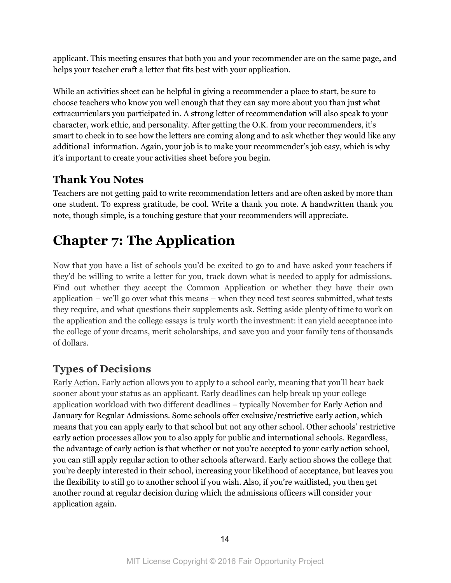applicant. This meeting ensures that both you and your recommender are on the same page, and helps your teacher craft a letter that fits best with your application.

While an activities sheet can be helpful in giving a recommender a place to start, be sure to choose teachers who know you well enough that they can say more about you than just what extracurriculars you participated in. A strong letter of recommendation will also speak to your character, work ethic, and personality. After getting the O.K. from your recommenders, it's smart to check in to see how the letters are coming along and to ask whether they would like any additional information. Again, your job is to make your recommender's job easy, which is why it's important to create your activities sheet before you begin.

#### **Thank You Notes**

Teachers are not getting paid to write recommendation letters and are often asked by more than one student. To express gratitude, be cool. Write a thank you note. A handwritten thank you note, though simple, is a touching gesture that your recommenders will appreciate.

# **Chapter 7: The Application**

Now that you have a list of schools you'd be excited to go to and have asked your teachers if they'd be willing to write a letter for you, track down what is needed to apply for admissions. Find out whether they accept the Common Application or whether they have their own application – we'll go over what this means – when they need test scores submitted, what tests they require, and what questions their supplements ask. Setting aside plenty of time to work on the application and the college essays is truly worth the investment: it can yield acceptance into the college of your dreams, merit scholarships, and save you and your family tens of thousands of dollars.

#### **Types of Decisions**

Early Action. Early action allows you to apply to a school early, meaning that you'll hear back sooner about your status as an applicant. Early deadlines can help break up your college application workload with two different deadlines – typically November for Early Action and January for Regular Admissions. Some schools offer exclusive/restrictive early action, which means that you can apply early to that school but not any other school. Other schools' restrictive early action processes allow you to also apply for public and international schools. Regardless, the advantage of early action is that whether or not you're accepted to your early action school, you can still apply regular action to other schools afterward. Early action shows the college that you're deeply interested in their school, increasing your likelihood of acceptance, but leaves you the flexibility to still go to another school if you wish. Also, if you're waitlisted, you then get another round at regular decision during which the admissions officers will consider your application again.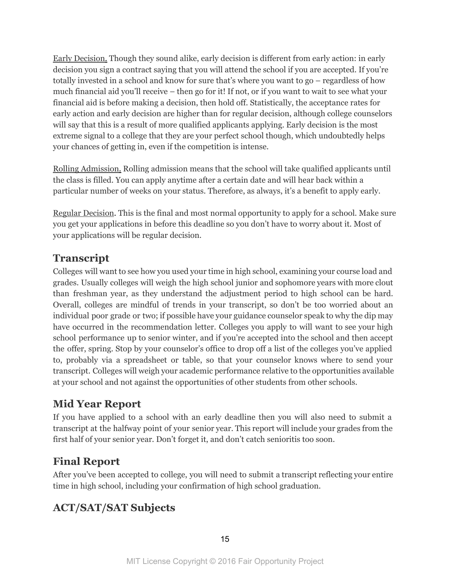Early Decision. Though they sound alike, early decision is different from early action: in early decision you sign a contract saying that you will attend the school if you are accepted. If you're totally invested in a school and know for sure that's where you want to go – regardless of how much financial aid you'll receive – then go for it! If not, or if you want to wait to see what your financial aid is before making a decision, then hold off. Statistically, the acceptance rates for early action and early decision are higher than for regular decision, although college counselors will say that this is a result of more qualified applicants applying. Early decision is the most extreme signal to a college that they are your perfect school though, which undoubtedly helps your chances of getting in, even if the competition is intense.

Rolling Admission. Rolling admission means that the school will take qualified applicants until the class is filled. You can apply anytime after a certain date and will hear back within a particular number of weeks on your status. Therefore, as always, it's a benefit to apply early.

Regular Decision. This is the final and most normal opportunity to apply for a school. Make sure you get your applications in before this deadline so you don't have to worry about it. Most of your applications will be regular decision.

### **Transcript**

Colleges will want to see how you used your time in high school, examining your course load and grades. Usually colleges will weigh the high school junior and sophomore years with more clout than freshman year, as they understand the adjustment period to high school can be hard. Overall, colleges are mindful of trends in your transcript, so don't be too worried about an individual poor grade or two; if possible have your guidance counselor speak to why the dip may have occurred in the recommendation letter. Colleges you apply to will want to see your high school performance up to senior winter, and if you're accepted into the school and then accept the offer, spring. Stop by your counselor's office to drop off a list of the colleges you've applied to, probably via a spreadsheet or table, so that your counselor knows where to send your transcript. Colleges will weigh your academic performance relative to the opportunities available at your school and not against the opportunities of other students from other schools.

### **Mid Year Report**

If you have applied to a school with an early deadline then you will also need to submit a transcript at the halfway point of your senior year. This report will include your grades from the first half of your senior year. Don't forget it, and don't catch senioritis too soon.

### **Final Report**

After you've been accepted to college, you will need to submit a transcript reflecting your entire time in high school, including your confirmation of high school graduation.

### **ACT/SAT/SAT Subjects**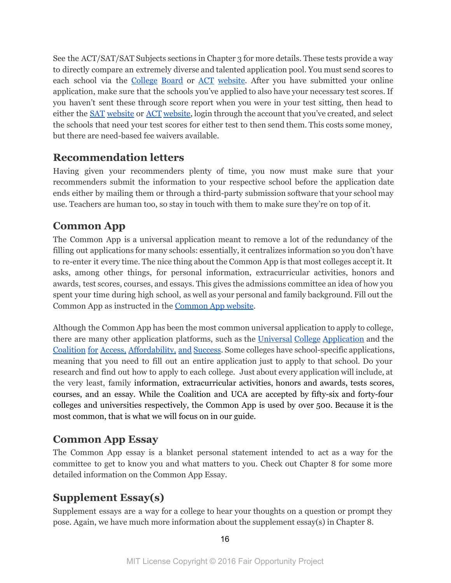See the ACT/SAT/SAT Subjects sections in Chapter 3 for more details. These tests provide a way to directly compare an extremely diverse and talented application pool. You must send scores to each school via the [College](https://www.collegeboard.org/) Board or [A](http://www.act.org/)CT [website.](http://www.act.org/) After you have submitted your online application, make sure that the schools you've applied to also have your necessary test scores. If you haven't sent these through score report when you were in your test sitting, then head to either th[e](https://www.collegeboard.org/) SAT [website](https://www.collegeboard.org/) or [A](http://www.act.org/content/act/en/products-and-services/the-act.html)CT [website,](http://www.act.org/content/act/en/products-and-services/the-act.html) login through the account that you've created, and select the schools that need your test scores for either test to then send them. This costs some money, but there are need-based fee waivers available.

#### **Recommendation letters**

Having given your recommenders plenty of time, you now must make sure that your recommenders submit the information to your respective school before the application date ends either by mailing them or through a third-party submission software that your school may use. Teachers are human too, so stay in touch with them to make sure they're on top of it.

#### **Common App**

The Common App is a universal application meant to remove a lot of the redundancy of the filling out applications for many schools: essentially, it centralizes information so you don't have to reenter it every time. The nice thing about the Common App is that most colleges accept it. It asks, among other things, for personal information, extracurricular activities, honors and awards, test scores, courses, and essays. This gives the admissions committee an idea of how you spent your time during high school, as well as your personal and family background. Fill out the Common App as instructed in the [Common App website.](http://www.commonapp.org/)

Although the Common App has been the most common universal application to apply to college, there are many other application platforms, such as th[e](https://www.universalcollegeapp.com/) Universal College [Application](https://www.universalcollegeapp.com/) and th[e](http://www.coalitionforcollegeaccess.org/) Coalition for Access, [Affordability,](http://www.coalitionforcollegeaccess.org/) and Success. Some colleges have school-specific applications, meaning that you need to fill out an entire application just to apply to that school. Do your research and find out how to apply to each college. Just about every application will include, at the very least, family information, extracurricular activities, honors and awards, tests scores, courses, and an essay. While the Coalition and UCA are accepted by fifty-six and forty-four colleges and universities respectively, the Common App is used by over 500. Because it is the most common, that is what we will focus on in our guide.

#### **Common App Essay**

The Common App essay is a blanket personal statement intended to act as a way for the committee to get to know you and what matters to you. Check out Chapter 8 for some more detailed information on the Common App Essay.

### **Supplement Essay(s)**

Supplement essays are a way for a college to hear your thoughts on a question or prompt they pose. Again, we have much more information about the supplement essay(s) in Chapter 8.

16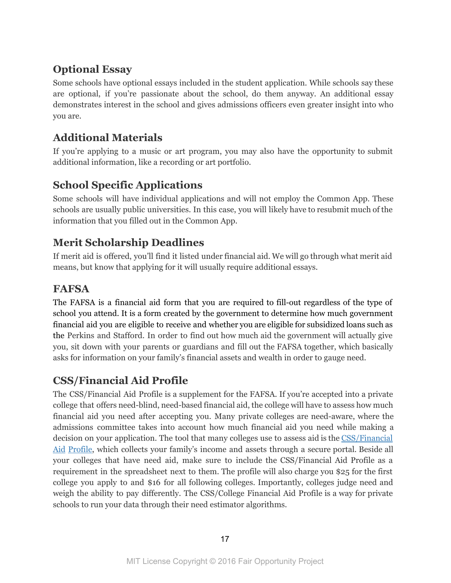### **Optional Essay**

Some schools have optional essays included in the student application. While schools say these are optional, if you're passionate about the school, do them anyway. An additional essay demonstrates interest in the school and gives admissions officers even greater insight into who you are.

### **Additional Materials**

If you're applying to a music or art program, you may also have the opportunity to submit additional information, like a recording or art portfolio.

### **School Specific Applications**

Some schools will have individual applications and will not employ the Common App. These schools are usually public universities. In this case, you will likely have to resubmit much of the information that you filled out in the Common App.

### **Merit Scholarship Deadlines**

If merit aid is offered, you'll find it listed under financial aid. We will go through what merit aid means, but know that applying for it will usually require additional essays.

#### **FAFSA**

The FAFSA is a financial aid form that you are required to fill-out regardless of the type of school you attend. It is a form created by the government to determine how much government financial aid you are eligible to receive and whether you are eligible for subsidized loans such as the Perkins and Stafford. In order to find out how much aid the government will actually give you, sit down with your parents or guardians and fill out the FAFSA together, which basically asks for information on your family's financial assets and wealth in order to gauge need.

### **CSS/Financial Aid Profile**

The CSS/Financial Aid Profile is a supplement for the FAFSA. If you're accepted into a private college that offers need-blind, need-based financial aid, the college will have to assess how much financial aid you need after accepting you. Many private colleges are need-aware, where the admissions committee takes into account how much financial aid you need while making a decision on your application. The tool that many colleges use to assess aid is the [CSS/Financial](https://student.collegeboard.org/css-financial-aid-profile) Aid [Profile](https://student.collegeboard.org/css-financial-aid-profile), which collects your family's income and assets through a secure portal. Beside all your colleges that have need aid, make sure to include the CSS/Financial Aid Profile as a requirement in the spreadsheet next to them. The profile will also charge you \$25 for the first college you apply to and \$16 for all following colleges. Importantly, colleges judge need and weigh the ability to pay differently. The CSS/College Financial Aid Profile is a way for private schools to run your data through their need estimator algorithms.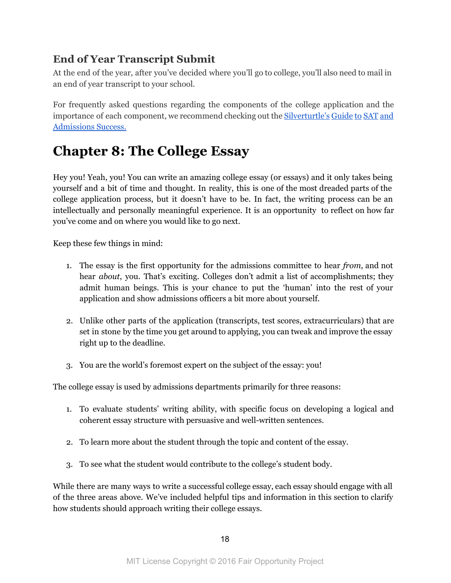#### **End of Year Transcript Submit**

At the end of the year, after you've decided where you'll go to college, you'll also need to mail in an end of year transcript to your school.

For frequently asked questions regarding the components of the college application and the importance of each component, we recommend checking out th[e](http://www.fairopportunityproject.com/book/silverturtles.pdf) [Silverturtle's](http://www.fairopportunityproject.com/book/silverturtles.pdf) Guide to SAT and [Admissions Success.](http://www.fairopportunityproject.com/book/silverturtles.pdf)

# **Chapter 8: The College Essay**

Hey you! Yeah, you! You can write an amazing college essay (or essays) and it only takes being yourself and a bit of time and thought. In reality, this is one of the most dreaded parts of the college application process, but it doesn't have to be. In fact, the writing process can be an intellectually and personally meaningful experience. It is an opportunity to reflect on how far you've come and on where you would like to go next.

Keep these few things in mind:

- 1. The essay is the first opportunity for the admissions committee to hear *from*, and not hear *about*, you. That's exciting. Colleges don't admit a list of accomplishments; they admit human beings. This is your chance to put the 'human' into the rest of your application and show admissions officers a bit more about yourself.
- 2. Unlike other parts of the application (transcripts, test scores, extracurriculars) that are set in stone by the time you get around to applying, you can tweak and improve the essay right up to the deadline.
- 3. You are the world's foremost expert on the subject of the essay: you!

The college essay is used by admissions departments primarily for three reasons:

- 1. To evaluate students' writing ability, with specific focus on developing a logical and coherent essay structure with persuasive and well-written sentences.
- 2. To learn more about the student through the topic and content of the essay.
- 3. To see what the student would contribute to the college's student body.

While there are many ways to write a successful college essay, each essay should engage with all of the three areas above. We've included helpful tips and information in this section to clarify how students should approach writing their college essays.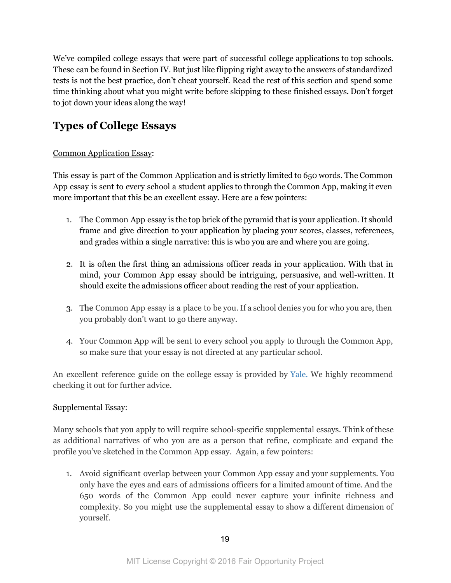We've compiled college essays that were part of successful college applications to top schools. These can be found in Section IV. But just like flipping right away to the answers of standardized tests is not the best practice, don't cheat yourself. Read the rest of this section and spend some time thinking about what you might write before skipping to these finished essays. Don't forget to jot down your ideas along the way!

#### **Types of College Essays**

#### Common Application Essay:

This essay is part of the Common Application and is strictly limited to 650 words. The Common App essay is sent to every school a student applies to through the Common App, making it even more important that this be an excellent essay. Here are a few pointers:

- 1. The Common App essay is the top brick of the pyramid that is your application. It should frame and give direction to your application by placing your scores, classes, references, and grades within a single narrative: this is who you are and where you are going.
- 2. It is often the first thing an admissions officer reads in your application. With that in mind, your Common App essay should be intriguing, persuasive, and well-written. It should excite the admissions officer about reading the rest of your application.
- 3. The Common App essay is a place to be you. If a school denies you for who you are, then you probably don't want to go there anyway.
- 4. Your Common App will be sent to every school you apply to through the Common App, so make sure that your essay is not directed at any particular school.

An excellent reference guide on the college essay is provided by [Yale.](http://admissions.yale.edu/advice-putting-together-your-application) We highly recommend checking it out for further advice.

#### Supplemental Essay:

Many schools that you apply to will require school-specific supplemental essays. Think of these as additional narratives of who you are as a person that refine, complicate and expand the profile you've sketched in the Common App essay. Again, a few pointers:

1. Avoid significant overlap between your Common App essay and your supplements. You only have the eyes and ears of admissions officers for a limited amount of time. And the 650 words of the Common App could never capture your infinite richness and complexity. So you might use the supplemental essay to show a different dimension of yourself.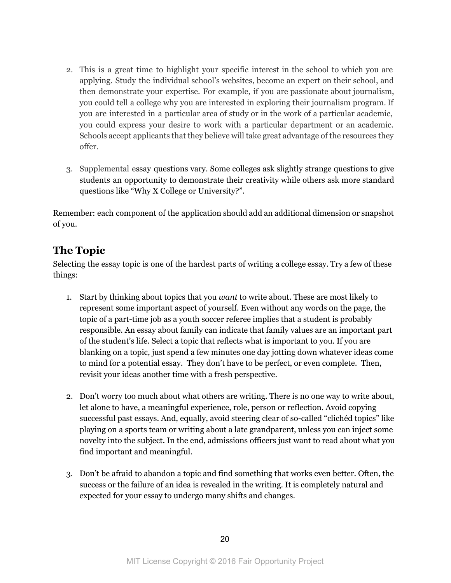- 2. This is a great time to highlight your specific interest in the school to which you are applying. Study the individual school's websites, become an expert on their school, and then demonstrate your expertise. For example, if you are passionate about journalism, you could tell a college why you are interested in exploring their journalism program. If you are interested in a particular area of study or in the work of a particular academic, you could express your desire to work with a particular department or an academic. Schools accept applicants that they believe will take great advantage of the resources they offer.
- 3. Supplemental essay questions vary. Some colleges ask slightly strange questions to give students an opportunity to demonstrate their creativity while others ask more standard questions like "Why X College or University?".

Remember: each component of the application should add an additional dimension or snapshot of you.

#### **The Topic**

Selecting the essay topic is one of the hardest parts of writing a college essay. Try a few of these things:

- 1. Start by thinking about topics that you *want* to write about. These are most likely to represent some important aspect of yourself. Even without any words on the page, the topic of a part-time job as a youth soccer referee implies that a student is probably responsible. An essay about family can indicate that family values are an important part of the student's life. Select a topic that reflects what is important to you. If you are blanking on a topic, just spend a few minutes one day jotting down whatever ideas come to mind for a potential essay. They don't have to be perfect, or even complete. Then, revisit your ideas another time with a fresh perspective.
- 2. Don't worry too much about what others are writing. There is no one way to write about, let alone to have, a meaningful experience, role, person or reflection. Avoid copying successful past essays. And, equally, avoid steering clear of so-called "clichéd topics" like playing on a sports team or writing about a late grandparent, unless you can inject some novelty into the subject. In the end, admissions officers just want to read about what you find important and meaningful.
- 3. Don't be afraid to abandon a topic and find something that works even better. Often, the success or the failure of an idea is revealed in the writing. It is completely natural and expected for your essay to undergo many shifts and changes.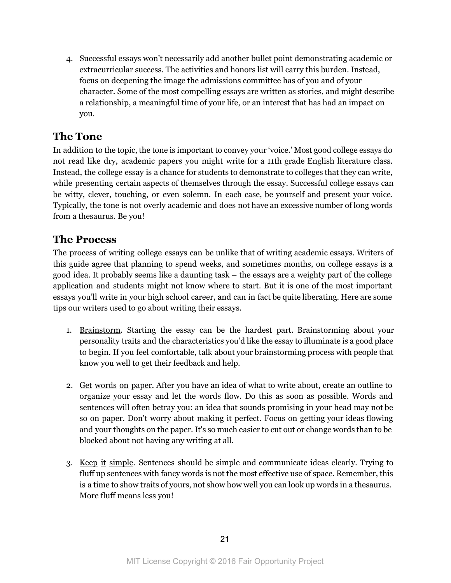4. Successful essays won't necessarily add another bullet point demonstrating academic or extracurricular success. The activities and honors list will carry this burden. Instead, focus on deepening the image the admissions committee has of you and of your character. Some of the most compelling essays are written as stories, and might describe a relationship, a meaningful time of your life, or an interest that has had an impact on you.

#### **The Tone**

In addition to the topic, the tone is important to convey your 'voice.' Most good college essays do not read like dry, academic papers you might write for a 11th grade English literature class. Instead, the college essay is a chance for students to demonstrate to colleges that they can write, while presenting certain aspects of themselves through the essay. Successful college essays can be witty, clever, touching, or even solemn. In each case, be yourself and present your voice. Typically, the tone is not overly academic and does not have an excessive number of long words from a thesaurus. Be you!

#### **The Process**

The process of writing college essays can be unlike that of writing academic essays. Writers of this guide agree that planning to spend weeks, and sometimes months, on college essays is a good idea. It probably seems like a daunting task – the essays are a weighty part of the college application and students might not know where to start. But it is one of the most important essays you'll write in your high school career, and can in fact be quite liberating. Here are some tips our writers used to go about writing their essays.

- 1. Brainstorm. Starting the essay can be the hardest part. Brainstorming about your personality traits and the characteristics you'd like the essay to illuminate is a good place to begin. If you feel comfortable, talk about your brainstorming process with people that know you well to get their feedback and help.
- 2. Get words on paper. After you have an idea of what to write about, create an outline to organize your essay and let the words flow. Do this as soon as possible. Words and sentences will often betray you: an idea that sounds promising in your head may not be so on paper. Don't worry about making it perfect. Focus on getting your ideas flowing and your thoughts on the paper. It's so much easier to cut out or change words than to be blocked about not having any writing at all.
- 3. Keep it simple. Sentences should be simple and communicate ideas clearly. Trying to fluff up sentences with fancy words is not the most effective use of space. Remember, this is a time to show traits of yours, not show how well you can look up words in a thesaurus. More fluff means less you!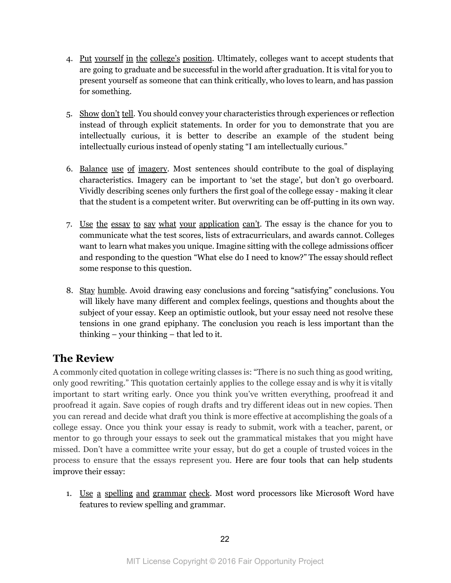- 4. Put yourself in the college's position. Ultimately, colleges want to accept students that are going to graduate and be successful in the world after graduation. It is vital for you to present yourself as someone that can think critically, who loves to learn, and has passion for something.
- 5. Show don't tell. You should convey your characteristics through experiences or reflection instead of through explicit statements. In order for you to demonstrate that you are intellectually curious, it is better to describe an example of the student being intellectually curious instead of openly stating "I am intellectually curious."
- 6. Balance use of imagery. Most sentences should contribute to the goal of displaying characteristics. Imagery can be important to 'set the stage', but don't go overboard. Vividly describing scenes only furthers the first goal of the college essay - making it clear that the student is a competent writer. But overwriting can be off-putting in its own way.
- 7. Use the essay to say what your application can't. The essay is the chance for you to communicate what the test scores, lists of extracurriculars, and awards cannot. Colleges want to learn what makes you unique. Imagine sitting with the college admissions officer and responding to the question "What else do I need to know?" The essay should reflect some response to this question.
- 8. Stay humble. Avoid drawing easy conclusions and forcing "satisfying" conclusions. You will likely have many different and complex feelings, questions and thoughts about the subject of your essay. Keep an optimistic outlook, but your essay need not resolve these tensions in one grand epiphany. The conclusion you reach is less important than the thinking – your thinking – that led to it.

#### **The Review**

A commonly cited quotation in college writing classes is: "There is no such thing as good writing, only good rewriting." This quotation certainly applies to the college essay and is why it is vitally important to start writing early. Once you think you've written everything, proofread it and proofread it again. Save copies of rough drafts and try different ideas out in new copies. Then you can reread and decide what draft you think is more effective at accomplishing the goals of a college essay. Once you think your essay is ready to submit, work with a teacher, parent, or mentor to go through your essays to seek out the grammatical mistakes that you might have missed. Don't have a committee write your essay, but do get a couple of trusted voices in the process to ensure that the essays represent you. Here are four tools that can help students improve their essay:

1. Use a spelling and grammar check. Most word processors like Microsoft Word have features to review spelling and grammar.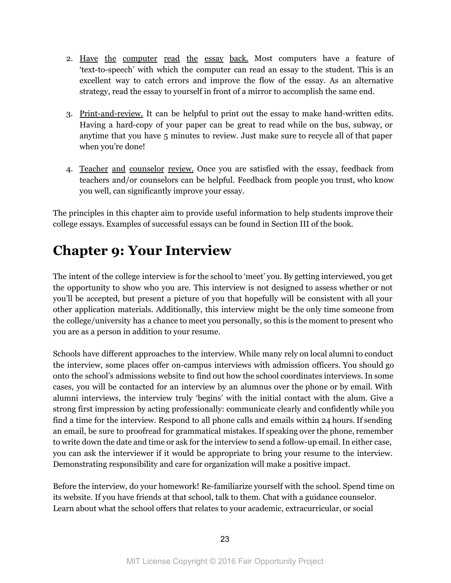- 2. Have the computer read the essay back. Most computers have a feature of text-to-speech' with which the computer can read an essay to the student. This is an excellent way to catch errors and improve the flow of the essay. As an alternative strategy, read the essay to yourself in front of a mirror to accomplish the same end.
- 3. Print-and-review. It can be helpful to print out the essay to make hand-written edits. Having a hard-copy of your paper can be great to read while on the bus, subway, or anytime that you have 5 minutes to review. Just make sure to recycle all of that paper when you're done!
- 4. Teacher and counselor review. Once you are satisfied with the essay, feedback from teachers and/or counselors can be helpful. Feedback from people you trust, who know you well, can significantly improve your essay.

The principles in this chapter aim to provide useful information to help students improve their college essays. Examples of successful essays can be found in Section III of the book.

## **Chapter 9: Your Interview**

The intent of the college interview is for the school to 'meet' you. By getting interviewed, you get the opportunity to show who you are. This interview is not designed to assess whether or not you'll be accepted, but present a picture of you that hopefully will be consistent with all your other application materials. Additionally, this interview might be the only time someone from the college/university has a chance to meet you personally, so this is the moment to present who you are as a person in addition to your resume.

Schools have different approaches to the interview. While many rely on local alumni to conduct the interview, some places offer on-campus interviews with admission officers. You should go onto the school's admissions website to find out how the school coordinates interviews. In some cases, you will be contacted for an interview by an alumnus over the phone or by email. With alumni interviews, the interview truly 'begins' with the initial contact with the alum. Give a strong first impression by acting professionally: communicate clearly and confidently while you find a time for the interview. Respond to all phone calls and emails within 24 hours. If sending an email, be sure to proofread for grammatical mistakes. If speaking over the phone, remember to write down the date and time or ask for the interview to send a followup email. In either case, you can ask the interviewer if it would be appropriate to bring your resume to the interview. Demonstrating responsibility and care for organization will make a positive impact.

Before the interview, do your homework! Re-familiarize yourself with the school. Spend time on its website. If you have friends at that school, talk to them. Chat with a guidance counselor. Learn about what the school offers that relates to your academic, extracurricular, or social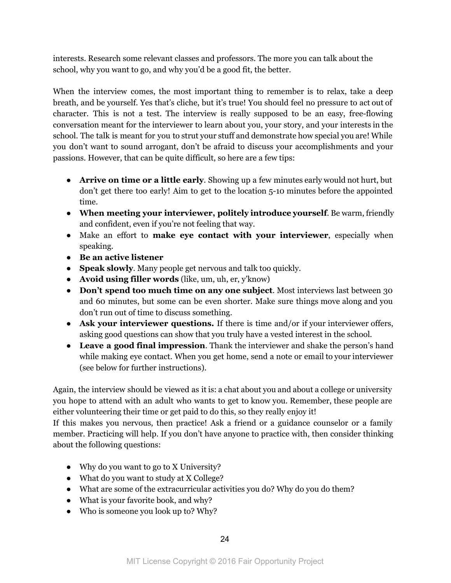interests. Research some relevant classes and professors. The more you can talk about the school, why you want to go, and why you'd be a good fit, the better.

When the interview comes, the most important thing to remember is to relax, take a deep breath, and be yourself. Yes that's cliche, but it's true! You should feel no pressure to act out of character. This is not a test. The interview is really supposed to be an easy, freeflowing conversation meant for the interviewer to learn about you, your story, and your interests in the school. The talk is meant for you to strut your stuff and demonstrate how special you are! While you don't want to sound arrogant, don't be afraid to discuss your accomplishments and your passions. However, that can be quite difficult, so here are a few tips:

- **Arrive on time or a little early**. Showing up a few minutes early would not hurt, but don't get there too early! Aim to get to the location 5-10 minutes before the appointed time.
- **When meeting your interviewer, politely introduce yourself**. Be warm, friendly and confident, even if you're not feeling that way.
- Make an effort to **make eye contact with your interviewer**, especially when speaking.
- **Be an active listener**
- **Speak slowly**. Many people get nervous and talk too quickly.
- Avoid using filler words (like, um, uh, er, y'know)
- **Don't spend too much time on any one subject**. Most interviews last between 30 and 60 minutes, but some can be even shorter. Make sure things move along and you don't run out of time to discuss something.
- **Ask your interviewer questions.** If there is time and/or if your interviewer offers, asking good questions can show that you truly have a vested interest in the school.
- **Leave a good final impression**. Thank the interviewer and shake the person's hand while making eye contact. When you get home, send a note or email to your interviewer (see below for further instructions).

Again, the interview should be viewed as it is: a chat about you and about a college or university you hope to attend with an adult who wants to get to know you. Remember, these people are either volunteering their time or get paid to do this, so they really enjoy it!

If this makes you nervous, then practice! Ask a friend or a guidance counselor or a family member. Practicing will help. If you don't have anyone to practice with, then consider thinking about the following questions:

- Why do you want to go to X University?
- What do you want to study at X College?
- What are some of the extracurricular activities you do? Why do you do them?
- What is your favorite book, and why?
- Who is someone you look up to? Why?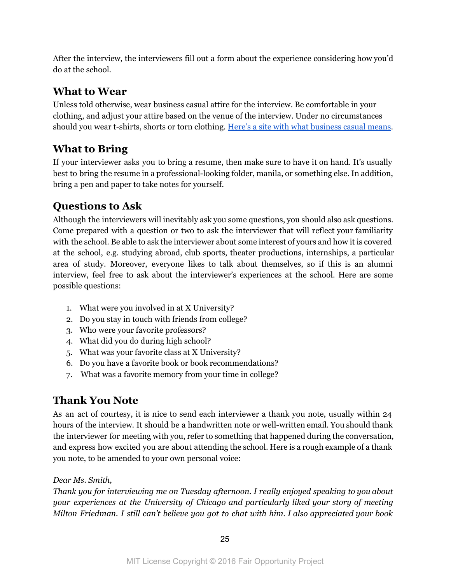After the interview, the interviewers fill out a form about the experience considering how you'd do at the school.

#### **What to Wear**

Unless told otherwise, wear business casual attire for the interview. Be comfortable in your clothing, and adjust your attire based on the venue of the interview. Under no circumstances should you wear t-shirts, shorts or torn clothing. [Here's a site with what](https://signeteducation.com/blog/what-to-wear-to-a-college-interview) business casual means.

### **What to Bring**

If your interviewer asks you to bring a resume, then make sure to have it on hand. It's usually best to bring the resume in a professional-looking folder, manila, or something else. In addition, bring a pen and paper to take notes for yourself.

#### **Questions to Ask**

Although the interviewers will inevitably ask you some questions, you should also ask questions. Come prepared with a question or two to ask the interviewer that will reflect your familiarity with the school. Be able to ask the interviewer about some interest of yours and how it is covered at the school, e.g. studying abroad, club sports, theater productions, internships, a particular area of study. Moreover, everyone likes to talk about themselves, so if this is an alumni interview, feel free to ask about the interviewer's experiences at the school. Here are some possible questions:

- 1. What were you involved in at X University?
- 2. Do you stay in touch with friends from college?
- 3. Who were your favorite professors?
- 4. What did you do during high school?
- 5. What was your favorite class at X University?
- 6. Do you have a favorite book or book recommendations?
- 7. What was a favorite memory from your time in college?

#### **Thank You Note**

As an act of courtesy, it is nice to send each interviewer a thank you note, usually within 24 hours of the interview. It should be a handwritten note or well-written email. You should thank the interviewer for meeting with you, refer to something that happened during the conversation, and express how excited you are about attending the school. Here is a rough example of a thank you note, to be amended to your own personal voice:

#### *Dear Ms. Smith,*

*Thank you for interviewing me on Tuesday afternoon. I really enjoyed speaking to you about your experiences at the University of Chicago and particularly liked your story of meeting Milton Friedman. I still can't believe you got to chat with him. I also appreciated your book*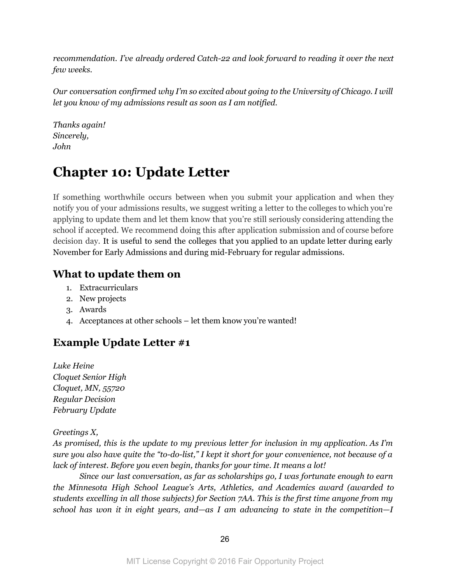*recommendation. I've already ordered Catch-22 and look forward to reading it over the next few weeks.*

*Our conversation confirmed why I'm so excited about going to the University of Chicago. I will let you know of my admissions result as soon as I am notified.*

*Thanks again! Sincerely, John*

# **Chapter 10: Update Letter**

If something worthwhile occurs between when you submit your application and when they notify you of your admissions results, we suggest writing a letter to the colleges to which you're applying to update them and let them know that you're still seriously considering attending the school if accepted. We recommend doing this after application submission and of course before decision day. It is useful to send the colleges that you applied to an update letter during early November for Early Admissions and during mid-February for regular admissions.

### **What to update them on**

- 1. Extracurriculars
- 2. New projects
- 3. Awards
- 4. Acceptances at other schools let them know you're wanted!

### **Example Update Letter #1**

*Luke Heine Cloquet Senior High Cloquet, MN, 55720 Regular Decision February Update*

*Greetings X,*

*As promised, this is the update to my previous letter for inclusion in my application. As I'm sure you* also have quite the "to-do-list," I kept it short for your convenience, not because of a *lack of interest. Before you even begin, thanks for your time. It means a lot!*

*Since our last conversation, as far as scholarships go, I was fortunate enough to earn the Minnesota High School League's Arts, Athletics, and Academics award (awarded to students excelling in all those subjects) for Section 7AA. This is the first time anyone from my school has won it in eight years, and—as I am advancing to state in the competition—I*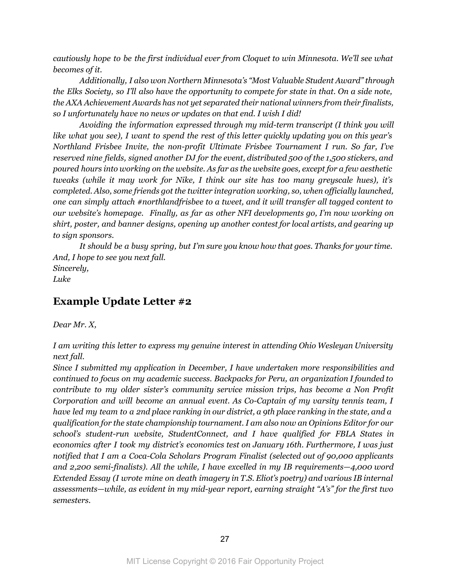*cautiously hope to be the first individual ever from Cloquet to win Minnesota. We'll see what becomes of it.*

*Additionally, I also won Northern Minnesota's "Most Valuable Student Award" through* the Elks Society, so I'll also have the opportunity to compete for state in that. On a side note, *the AXA Achievement Awards has not yet separated their national winners from their finalists, so I unfortunately have no news or updates on that end. I wish I did!*

*Avoiding the information expressed through my midterm transcript (I think you will* like what you see), I want to spend the rest of this letter quickly updating you on this year's *Northland Frisbee Invite, the nonprofit Ultimate Frisbee Tournament I run. So far, I've reserved nine fields, signed another DJ for the event, distributed 500 of the 1,500 stickers, and poured hours into working on the website. As far as the website goes, except for a few aesthetic tweaks (while it may work for Nike, I think our site has too many greyscale hues), it's completed. Also, some friends got the twitter integration working, so, when officially launched, one can simply attach #northlandfrisbee to a tweet, and it will transfer all tagged content to our website's homepage. Finally, as far as other NFI developments go, I'm now working on shirt, poster, and banner designs, opening up another contest for local artists, and gearing up to sign sponsors.*

*It should be a busy spring, but I'm sure you know how that goes. Thanks for your time. And, I hope to see you next fall. Sincerely,*

*Luke*

#### **Example Update Letter #2**

*Dear Mr. X,*

*I am writing this letter to express my genuine interest in attending Ohio Wesleyan University next fall.*

*Since I submitted my application in December, I have undertaken more responsibilities and continued to focus on my academic success. Backpacks for Peru, an organization I founded to contribute to my older sister's community service mission trips, has become a Non Profit Corporation* and *will* become an annual event. As Co-Captain of my varsity tennis team, I have led my team to a 2nd place ranking in our district, a 9th place ranking in the state, and a *qualification for the state championship tournament. I am also now an Opinions Editor for our school's studentrun website, StudentConnect, and I have qualified for FBLA States in economics after I took my district's economics test on January 16th. Furthermore, I was just notified that I am a CocaCola Scholars Program Finalist (selected out of 90,000 applicants and 2,200 semifinalists). All the while, I have excelled in my IB requirements—4,000 word Extended Essay (I wrote mine on death imagery in T.S. Eliot's poetry) and various IB internal assessments—while, as evident in my midyear report, earning straight "A's" for the first two semesters.*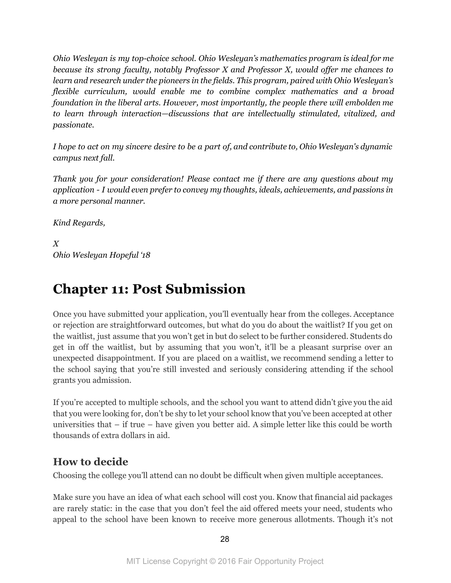*Ohio Wesleyan is my topchoice school. Ohio Wesleyan's mathematics program is ideal for me because its strong faculty, notably Professor X and Professor X, would offer me chances to learn and research under the pioneers in the fields. This program, paired with Ohio Wesleyan's flexible curriculum, would enable me to combine complex mathematics and a broad foundation in the liberal arts. However, most importantly, the people there will embolden me to learn through interaction—discussions that are intellectually stimulated, vitalized, and passionate.*

I hope to act on my sincere desire to be a part of, and contribute to, Ohio Wesleyan's dynamic *campus next fall.*

*Thank you for your consideration! Please contact me if there are any questions about my application I would even prefer to convey my thoughts, ideals, achievements, and passions in a more personal manner.*

*Kind Regards,*

*X Ohio Wesleyan Hopeful '18*

## **Chapter 11: Post Submission**

Once you have submitted your application, you'll eventually hear from the colleges. Acceptance or rejection are straightforward outcomes, but what do you do about the waitlist? If you get on the waitlist, just assume that you won't get in but do select to be further considered. Students do get in off the waitlist, but by assuming that you won't, it'll be a pleasant surprise over an unexpected disappointment. If you are placed on a waitlist, we recommend sending a letter to the school saying that you're still invested and seriously considering attending if the school grants you admission.

If you're accepted to multiple schools, and the school you want to attend didn't give you the aid that you were looking for, don't be shy to let your school know that you've been accepted at other universities that – if true – have given you better aid. A simple letter like this could be worth thousands of extra dollars in aid.

#### **How to decide**

Choosing the college you'll attend can no doubt be difficult when given multiple acceptances.

Make sure you have an idea of what each school will cost you. Know that financial aid packages are rarely static: in the case that you don't feel the aid offered meets your need, students who appeal to the school have been known to receive more generous allotments. Though it's not

28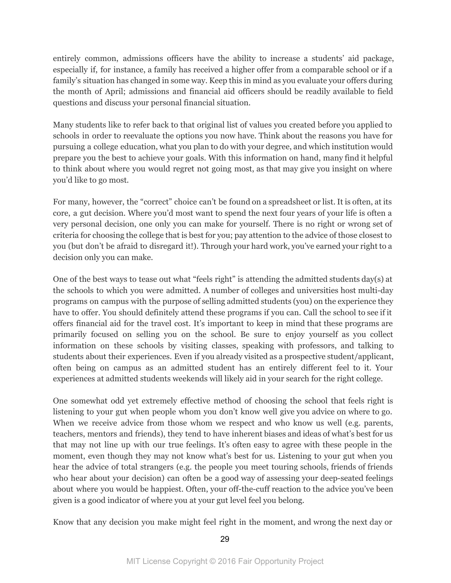entirely common, admissions officers have the ability to increase a students' aid package, especially if, for instance, a family has received a higher offer from a comparable school or if a family's situation has changed in some way. Keep this in mind as you evaluate your offers during the month of April; admissions and financial aid officers should be readily available to field questions and discuss your personal financial situation.

Many students like to refer back to that original list of values you created before you applied to schools in order to reevaluate the options you now have. Think about the reasons you have for pursuing a college education, what you plan to do with your degree, and which institution would prepare you the best to achieve your goals. With this information on hand, many find it helpful to think about where you would regret not going most, as that may give you insight on where you'd like to go most.

For many, however, the "correct" choice can't be found on a spreadsheet or list. It is often, at its core, a gut decision. Where you'd most want to spend the next four years of your life is often a very personal decision, one only you can make for yourself. There is no right or wrong set of criteria for choosing the college that is best for you; pay attention to the advice of those closest to you (but don't be afraid to disregard it!). Through your hard work, you've earned your right to a decision only you can make.

One of the best ways to tease out what "feels right" is attending the admitted students day(s) at the schools to which you were admitted. A number of colleges and universities host multi-day programs on campus with the purpose of selling admitted students (you) on the experience they have to offer. You should definitely attend these programs if you can. Call the school to see if it offers financial aid for the travel cost. It's important to keep in mind that these programs are primarily focused on selling you on the school. Be sure to enjoy yourself as you collect information on these schools by visiting classes, speaking with professors, and talking to students about their experiences. Even if you already visited as a prospective student/applicant, often being on campus as an admitted student has an entirely different feel to it. Your experiences at admitted students weekends will likely aid in your search for the right college.

One somewhat odd yet extremely effective method of choosing the school that feels right is listening to your gut when people whom you don't know well give you advice on where to go. When we receive advice from those whom we respect and who know us well (e.g. parents, teachers, mentors and friends), they tend to have inherent biases and ideas of what's best for us that may not line up with our true feelings. It's often easy to agree with these people in the moment, even though they may not know what's best for us. Listening to your gut when you hear the advice of total strangers (e.g. the people you meet touring schools, friends of friends who hear about your decision) can often be a good way of assessing your deep-seated feelings about where you would be happiest. Often, your off-the-cuff reaction to the advice you've been given is a good indicator of where you at your gut level feel you belong.

Know that any decision you make might feel right in the moment, and wrong the next day or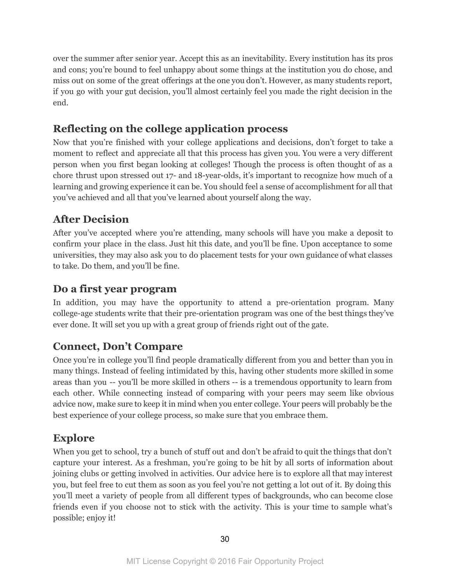over the summer after senior year. Accept this as an inevitability. Every institution has its pros and cons; you're bound to feel unhappy about some things at the institution you do chose, and miss out on some of the great offerings at the one you don't. However, as many students report, if you go with your gut decision, you'll almost certainly feel you made the right decision in the end.

#### **Reflecting on the college application process**

Now that you're finished with your college applications and decisions, don't forget to take a moment to reflect and appreciate all that this process has given you. You were a very different person when you first began looking at colleges! Though the process is often thought of as a chore thrust upon stressed out 17- and 18-year-olds, it's important to recognize how much of a learning and growing experience it can be. You should feel a sense of accomplishment for all that you've achieved and all that you've learned about yourself along the way.

### **After Decision**

After you've accepted where you're attending, many schools will have you make a deposit to confirm your place in the class. Just hit this date, and you'll be fine. Upon acceptance to some universities, they may also ask you to do placement tests for your own guidance of what classes to take. Do them, and you'll be fine.

#### **Do a first year program**

In addition, you may have the opportunity to attend a pre-orientation program. Many college-age students write that their pre-orientation program was one of the best things they've ever done. It will set you up with a great group of friends right out of the gate.

### **Connect, Don't Compare**

Once you're in college you'll find people dramatically different from you and better than you in many things. Instead of feeling intimidated by this, having other students more skilled in some areas than you -- you'll be more skilled in others -- is a tremendous opportunity to learn from each other. While connecting instead of comparing with your peers may seem like obvious advice now, make sure to keep it in mind when you enter college. Your peers will probably be the best experience of your college process, so make sure that you embrace them.

### **Explore**

When you get to school, try a bunch of stuff out and don't be afraid to quit the things that don't capture your interest. As a freshman, you're going to be hit by all sorts of information about joining clubs or getting involved in activities. Our advice here is to explore all that may interest you, but feel free to cut them as soon as you feel you're not getting a lot out of it. By doing this you'll meet a variety of people from all different types of backgrounds, who can become close friends even if you choose not to stick with the activity. This is your time to sample what's possible; enjoy it!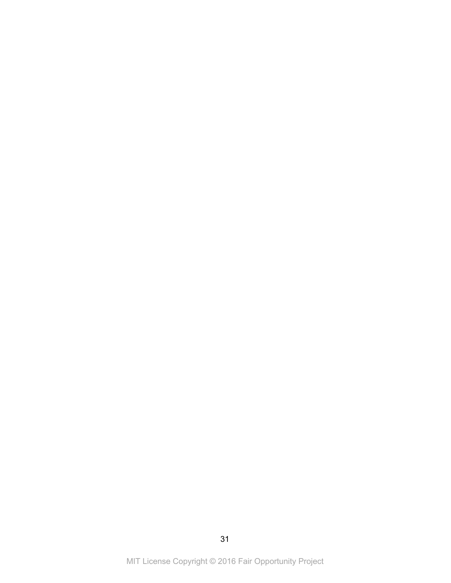31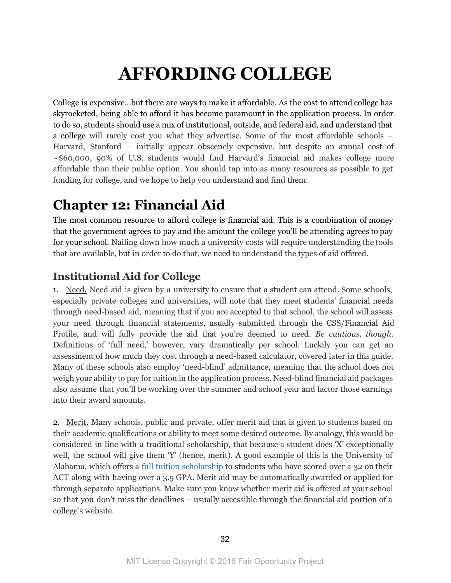# **AFFORDING COLLEGE**

College is expensive…but there are ways to make it affordable. As the cost to attend college has skyrocketed, being able to afford it has become paramount in the application process. In order to do so, students should use a mix of institutional, outside, and federal aid, and understand that a college will rarely cost you what they advertise. Some of the most affordable schools – Harvard, Stanford – initially appear obscenely expensive, but despite an annual cost of ~\$60,000, 90% of U.S. students would find Harvard's financial aid makes college more affordable than their public option. You should tap into as many resources as possible to get funding for college, and we hope to help you understand and find them.

# **Chapter 12: Financial Aid**

The most common resource to afford college is financial aid. This is a combination of money that the government agrees to pay and the amount the college you'll be attending agrees to pay for your school. Nailing down how much a university costs will require understanding the tools that are available, but in order to do that, we need to understand the types of aid offered.

### **Institutional Aid for College**

1. Need. Need aid is given by a university to ensure that a student can attend. Some schools, especially private colleges and universities, will note that they meet students' financial needs through need-based aid, meaning that if you are accepted to that school, the school will assess your need through financial statements, usually submitted through the CSS/Financial Aid Profile, and will fully provide the aid that you're deemed to need. *Be cautious, though.* Definitions of 'full need,' however, vary dramatically per school. Luckily you can get an assessment of how much they cost through a need-based calculator, covered later in this guide. Many of these schools also employ 'need-blind' admittance, meaning that the school does not weigh your ability to pay for tuition in the application process. Need-blind financial aid packages also assume that you'll be working over the summer and school year and factor those earnings into their award amounts.

2. Merit. Many schools, public and private, offer merit aid that is given to students based on their academic qualifications or ability to meet some desired outcome. By analogy, this would be considered in line with a traditional scholarship, that because a student does 'X' exceptionally well, the school will give them 'Y' (hence, merit). A good example of this is the University of Alabama, which offers a [f](http://scholarships.ua.edu/types/out-of-state.html)ull tuition [scholarship](http://scholarships.ua.edu/types/out-of-state.html) to students who have scored over a 32 on their ACT along with having over a 3.5 GPA. Merit aid may be automatically awarded or applied for through separate applications. Make sure you know whether merit aid is offered at your school so that you don't miss the deadlines – usually accessible through the financial aid portion of a college's website.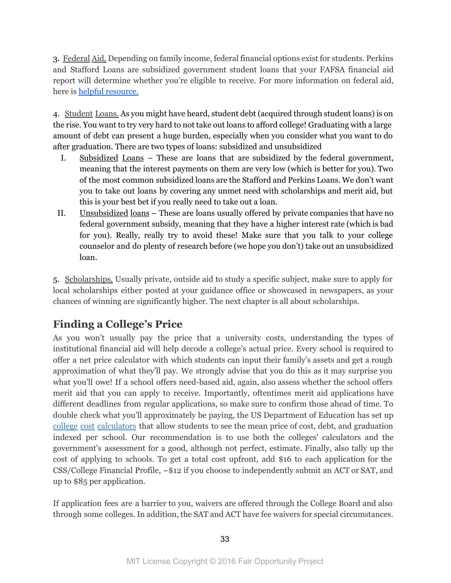3. Federal Aid. Depending on family income, federal financial options exist for students. Perkins and Stafford Loans are subsidized government student loans that your FAFSA financial aid report will determine whether you're eligible to receive. For more information on federal aid, here is [helpful resource.](http://www.understandingfafsa.org/)

4. Student Loans. As you might have heard, student debt (acquired through student loans) is on the rise. You want to try very hard to not take out loans to afford college! Graduating with a large amount of debt can present a huge burden, especially when you consider what you want to do after graduation. There are two types of loans: subsidized and unsubsidized

- I. Subsidized Loans These are loans that are subsidized by the federal government, meaning that the interest payments on them are very low (which is better for you). Two of the most common subsidized loans are the Stafford and Perkins Loans. We don't want you to take out loans by covering any unmet need with scholarships and merit aid, but this is your best bet if you really need to take out a loan.
- II. Unsubsidized loans These are loans usually offered by private companies that have no federal government subsidy, meaning that they have a higher interest rate (which is bad for you). Really, really try to avoid these! Make sure that you talk to your college counselor and do plenty of research before (we hope you don't) take out an unsubsidized loan.

5. Scholarships. Usually private, outside aid to study a specific subject, make sure to apply for local scholarships either posted at your guidance office or showcased in newspapers, as your chances of winning are significantly higher. The next chapter is all about scholarships.

### **Finding a College's Price**

As you won't usually pay the price that a university costs, understanding the types of institutional financial aid will help decode a college's actual price. Every school is required to offer a net price calculator with which students can input their family's assets and get a rough approximation of what they'll pay. We strongly advise that you do this as it may surprise you what you'll owe! If a school offers need-based aid, again, also assess whether the school offers merit aid that you can apply to receive. Importantly, oftentimes merit aid applications have different deadlines from regular applications, so make sure to confirm those ahead of time. To double check what you'll approximately be paying, the US Department of Education has set u[p](https://collegescorecard.ed.gov/) college cost [calculators](https://collegescorecard.ed.gov/) that allow students to see the mean price of cost, debt, and graduation indexed per school. Our recommendation is to use both the colleges' calculators and the government's assessment for a good, although not perfect, estimate. Finally, also tally up the cost of applying to schools. To get a total cost upfront, add \$16 to each application for the CSS/College Financial Profile, ~\$12 if you choose to independently submit an ACT or SAT, and up to \$85 per application.

If application fees are a barrier to you, waivers are offered through the College Board and also through some colleges. In addition, the SAT and ACT have fee waivers for special circumstances.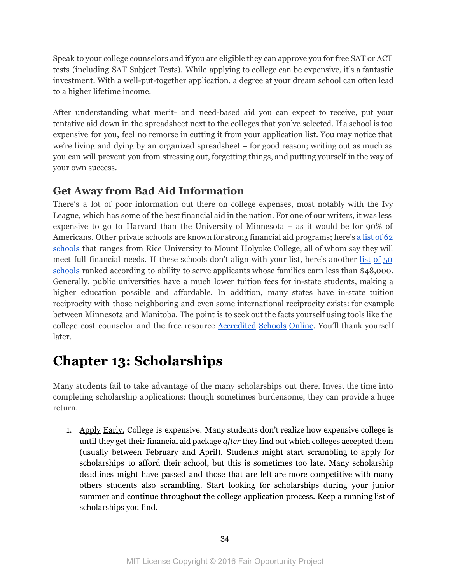Speak to your college counselors and if you are eligible they can approve you for free SAT or ACT tests (including SAT Subject Tests). While applying to college can be expensive, it's a fantastic investment. With a well-put-together application, a degree at your dream school can often lead to a higher lifetime income.

After understanding what merit- and need-based aid you can expect to receive, put your tentative aid down in the spreadsheet next to the colleges that you've selected. If a school is too expensive for you, feel no remorse in cutting it from your application list. You may notice that we're living and dying by an organized spreadsheet – for good reason; writing out as much as you can will prevent you from stressing out, forgetting things, and putting yourself in the way of your own success.

#### **Get Away from Bad Aid Information**

There's a lot of poor information out there on college expenses, most notably with the Ivy League, which has some of the best financial aid in the nation. For one of our writers, it was less expensive to go to Harvard than the University of Minnesota – as it would be for 90% of Americans. Other private schools are known for strong financial aid programs; here's a [list](http://www.usnews.com/education/best-colleges/paying-for-college/articles/2015/09/14/colleges-that-report-meeting-full-financial-need) of 62 [schools](http://www.usnews.com/education/best-colleges/paying-for-college/articles/2015/09/14/colleges-that-report-meeting-full-financial-need) that ranges from Rice University to Mount Holyoke College, all of whom say they will meet full financial needs. If these schools don't align with your list, here's another [list](http://www.bestcolleges.com/features/best-financial-aid/) of 50 [schools](http://www.bestcolleges.com/features/best-financial-aid/) ranked according to ability to serve applicants whose families earn less than \$48,000. Generally, public universities have a much lower tuition fees for in-state students, making a higher education possible and affordable. In addition, many states have in-state tuition reciprocity with those neighboring and even some international reciprocity exists: for example between Minnesota and Manitoba. The point is to seek out the facts yourself using tools like the college cost counselor and the free resource **[Accredited](http://www.accreditedschoolsonline.org/resources/guide-to-affordable-colleges/) Schools Online**. You'll thank yourself later.

# **Chapter 13: Scholarships**

Many students fail to take advantage of the many scholarships out there. Invest the time into completing scholarship applications: though sometimes burdensome, they can provide a huge return.

1. Apply Early. College is expensive. Many students don't realize how expensive college is until they get their financial aid package *after* they find out which colleges accepted them (usually between February and April). Students might start scrambling to apply for scholarships to afford their school, but this is sometimes too late. Many scholarship deadlines might have passed and those that are left are more competitive with many others students also scrambling. Start looking for scholarships during your junior summer and continue throughout the college application process. Keep a running list of scholarships you find.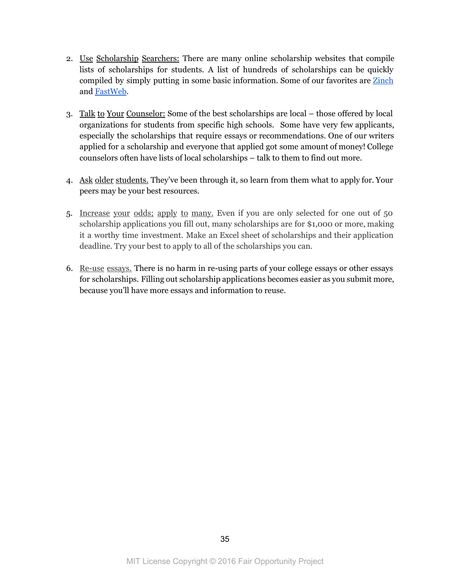- 2. Use Scholarship Searchers: There are many online scholarship websites that compile lists of scholarships for students. A list of hundreds of scholarships can be quickly compil[e](http://zinch.com/)d by simply putting in some basic information. Some of our favorites are [Zinch](http://zinch.com/) an[d](http://fastweb.com/) [FastWeb.](http://fastweb.com/)
- 3. Talk to Your Counselor: Some of the best scholarships are local those offered by local organizations for students from specific high schools. Some have very few applicants, especially the scholarships that require essays or recommendations. One of our writers applied for a scholarship and everyone that applied got some amount of money! College counselors often have lists of local scholarships – talk to them to find out more.
- 4. Ask older students. They've been through it, so learn from them what to apply for. Your peers may be your best resources.
- 5. Increase your odds; apply to many. Even if you are only selected for one out of 50 scholarship applications you fill out, many scholarships are for \$1,000 or more, making it a worthy time investment. Make an Excel sheet of scholarships and their application deadline. Try your best to apply to all of the scholarships you can.
- 6. Re-use essays. There is no harm in re-using parts of your college essays or other essays for scholarships. Filling out scholarship applications becomes easier as you submit more, because you'll have more essays and information to reuse.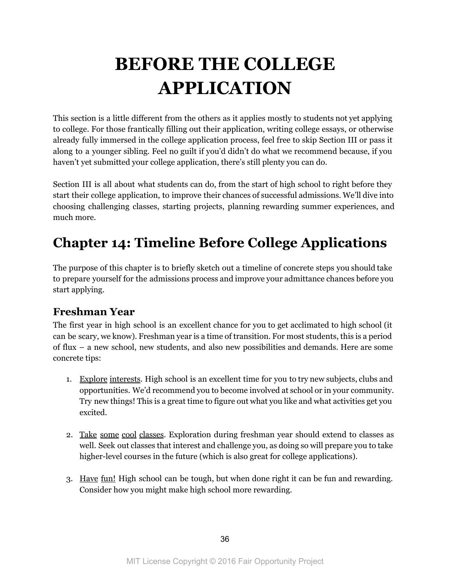# **BEFORE THE COLLEGE APPLICATION**

This section is a little different from the others as it applies mostly to students not yet applying to college. For those frantically filling out their application, writing college essays, or otherwise already fully immersed in the college application process, feel free to skip Section III or pass it along to a younger sibling. Feel no guilt if you'd didn't do what we recommend because, if you haven't yet submitted your college application, there's still plenty you can do.

Section III is all about what students can do, from the start of high school to right before they start their college application, to improve their chances of successful admissions. We'll dive into choosing challenging classes, starting projects, planning rewarding summer experiences, and much more.

# **Chapter 14: Timeline Before College Applications**

The purpose of this chapter is to briefly sketch out a timeline of concrete steps you should take to prepare yourself for the admissions process and improve your admittance chances before you start applying.

#### **Freshman Year**

The first year in high school is an excellent chance for you to get acclimated to high school (it can be scary, we know). Freshman year is a time of transition. For most students, this is a period of flux – a new school, new students, and also new possibilities and demands. Here are some concrete tips:

- 1. Explore interests. High school is an excellent time for you to try new subjects, clubs and opportunities. We'd recommend you to become involved at school or in your community. Try new things! This is a great time to figure out what you like and what activities get you excited.
- 2. Take some cool classes. Exploration during freshman year should extend to classes as well. Seek out classes that interest and challenge you, as doing so will prepare you to take higher-level courses in the future (which is also great for college applications).
- 3. Have fun! High school can be tough, but when done right it can be fun and rewarding. Consider how you might make high school more rewarding.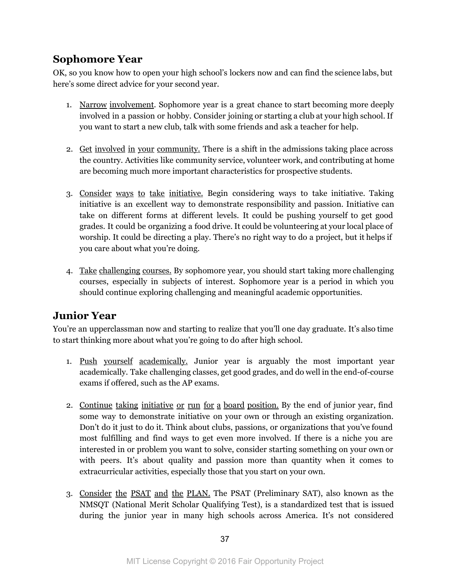#### **Sophomore Year**

OK, so you know how to open your high school's lockers now and can find the science labs, but here's some direct advice for your second year.

- 1. Narrow involvement. Sophomore year is a great chance to start becoming more deeply involved in a passion or hobby. Consider joining or starting a club at your high school. If you want to start a new club, talk with some friends and ask a teacher for help.
- 2. Get involved in your community. There is a shift in the admissions taking place across the country. Activities like community service, volunteer work, and contributing at home are becoming much more important characteristics for prospective students.
- 3. Consider ways to take initiative. Begin considering ways to take initiative. Taking initiative is an excellent way to demonstrate responsibility and passion. Initiative can take on different forms at different levels. It could be pushing yourself to get good grades. It could be organizing a food drive. It could be volunteering at your local place of worship. It could be directing a play. There's no right way to do a project, but it helps if you care about what you're doing.
- 4. Take challenging courses. By sophomore year, you should start taking more challenging courses, especially in subjects of interest. Sophomore year is a period in which you should continue exploring challenging and meaningful academic opportunities.

### **Junior Year**

You're an upperclassman now and starting to realize that you'll one day graduate. It's also time to start thinking more about what you're going to do after high school.

- 1. Push yourself academically. Junior year is arguably the most important year academically. Take challenging classes, get good grades, and do well in the end-of-course exams if offered, such as the AP exams.
- 2. Continue taking initiative or run for a board position. By the end of junior year, find some way to demonstrate initiative on your own or through an existing organization. Don't do it just to do it. Think about clubs, passions, or organizations that you've found most fulfilling and find ways to get even more involved. If there is a niche you are interested in or problem you want to solve, consider starting something on your own or with peers. It's about quality and passion more than quantity when it comes to extracurricular activities, especially those that you start on your own.
- 3. Consider the PSAT and the PLAN. The PSAT (Preliminary SAT), also known as the NMSQT (National Merit Scholar Qualifying Test), is a standardized test that is issued during the junior year in many high schools across America. It's not considered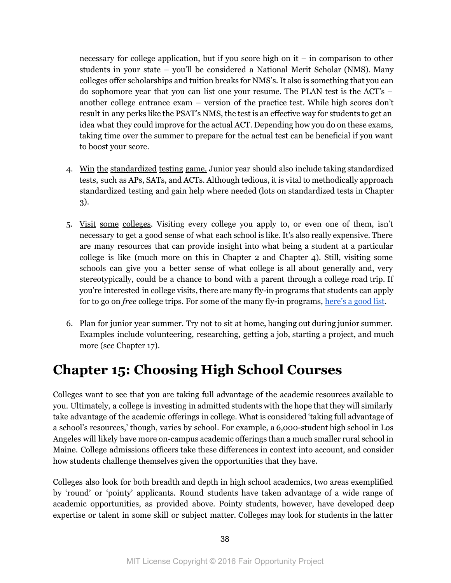necessary for college application, but if you score high on it – in comparison to other students in your state – you'll be considered a National Merit Scholar (NMS). Many colleges offer scholarships and tuition breaks for NMS's. It also is something that you can do sophomore year that you can list one your resume. The PLAN test is the ACT's – another college entrance exam – version of the practice test. While high scores don't result in any perks like the PSAT's NMS, the test is an effective way for students to get an idea what they could improve for the actual ACT. Depending how you do on these exams, taking time over the summer to prepare for the actual test can be beneficial if you want to boost your score.

- 4. Win the standardized testing game. Junior year should also include taking standardized tests, such as APs, SATs, and ACTs. Although tedious, it is vital to methodically approach standardized testing and gain help where needed (lots on standardized tests in Chapter 3).
- 5. Visit some colleges. Visiting every college you apply to, or even one of them, isn't necessary to get a good sense of what each school is like. It's also really expensive. There are many resources that can provide insight into what being a student at a particular college is like (much more on this in Chapter 2 and Chapter 4). Still, visiting some schools can give you a better sense of what college is all about generally and, very stereotypically, could be a chance to bond with a parent through a college road trip. If you're interested in college visits, there are many fly-in programs that students can apply for to go on *free* college trips. For some of t[h](http://fairopportunityproject.com/book/flyout.pdf)e many fly-in programs, here's [a good list.](http://fairopportunityproject.com/book/flyout.pdf)
- 6. Plan for junior year summer. Try not to sit at home, hanging out during junior summer. Examples include volunteering, researching, getting a job, starting a project, and much more (see Chapter 17).

## **Chapter 15: Choosing High School Courses**

Colleges want to see that you are taking full advantage of the academic resources available to you. Ultimately, a college is investing in admitted students with the hope that they will similarly take advantage of the academic offerings in college. What is considered 'taking full advantage of a school's resources,' though, varies by school. For example, a 6,000-student high school in Los Angeles will likely have more on-campus academic offerings than a much smaller rural school in Maine. College admissions officers take these differences in context into account, and consider how students challenge themselves given the opportunities that they have.

Colleges also look for both breadth and depth in high school academics, two areas exemplified by 'round' or 'pointy' applicants. Round students have taken advantage of a wide range of academic opportunities, as provided above. Pointy students, however, have developed deep expertise or talent in some skill or subject matter. Colleges may look for students in the latter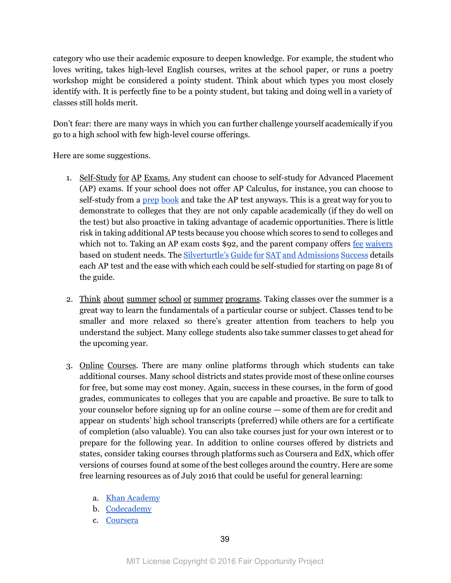category who use their academic exposure to deepen knowledge. For example, the student who loves writing, takes high-level English courses, writes at the school paper, or runs a poetry workshop might be considered a pointy student. Think about which types you most closely identify with. It is perfectly fine to be a pointy student, but taking and doing well in a variety of classes still holds merit.

Don't fear: there are many ways in which you can further challenge yourself academically if you go to a high school with few high-level course offerings.

Here are some suggestions.

- 1. Self-Study for AP Exams. Any student can choose to self-study for Advanced Placement (AP) exams. If your school does not offer AP Calculus, for instance, you can choose to self-study from a [p](http://www.amazon.com/Advanced-Placement-Books/b?ie=UTF8&node=11672)rep [book](http://www.amazon.com/Advanced-Placement-Books/b?ie=UTF8&node=11672) and take the AP test anyways. This is a great way for you to demonstrate to colleges that they are not only capable academically (if they do well on the test) but also proactive in taking advantage of academic opportunities. There is little risk in taking additional AP tests because you choose which scores to send to colleges and which not to. Taking an AP exam co[s](https://professionals.collegeboard.org/testing/waivers/guidelines/ap)ts \$92, and the parent company offers fee [waivers](https://professionals.collegeboard.org/testing/waivers/guidelines/ap) based on student needs. The **[Silverturtle's](http://www.fairopportunityproject.com/book/silverturtles.pdf) Guide for SAT and Admissions Success details** each AP test and the ease with which each could be self-studied for starting on page 81 of the guide.
- 2. Think about summer school or summer programs. Taking classes over the summer is a great way to learn the fundamentals of a particular course or subject. Classes tend to be smaller and more relaxed so there's greater attention from teachers to help you understand the subject. Many college students also take summer classes to get ahead for the upcoming year.
- 3. Online Courses. There are many online platforms through which students can take additional courses. Many school districts and states provide most of these online courses for free, but some may cost money. Again, success in these courses, in the form of good grades, communicates to colleges that you are capable and proactive. Be sure to talk to your counselor before signing up for an online course — some of them are for credit and appear on students' high school transcripts (preferred) while others are for a certificate of completion (also valuable). You can also take courses just for your own interest or to prepare for the following year. In addition to online courses offered by districts and states, consider taking courses through platforms such as Coursera and EdX, which offer versions of courses found at some of the best colleges around the country. Here are some free learning resources as of July 2016 that could be useful for general learning:
	- a. [Khan Academy](https://www.khanacademy.org/)
	- b. [Codecademy](https://www.codecademy.com/)
	- c. [Coursera](https://www.coursera.org/)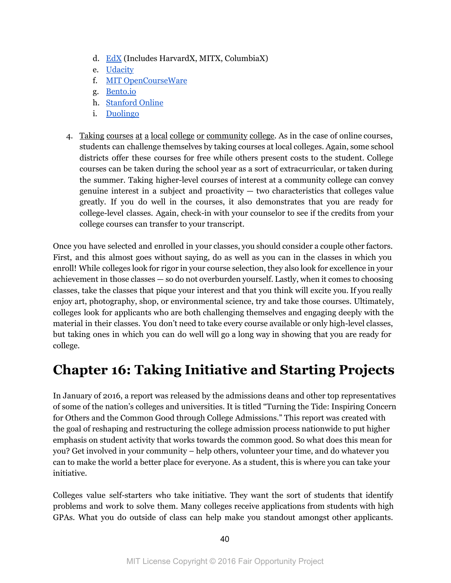- d. [EdX](https://www.edx.org/) (Includes HarvardX, MITX, ColumbiaX)
- e. [Udacity](https://www.udacity.com/)
- f. [MIT OpenCourseWare](http://ocw.mit.edu/index.htm)
- g. [Bento.io](https://bento.io/)
- h. [Stanford Online](http://online.stanford.edu/)
- i. [Duolingo](https://www.duolingo.com/)
- 4. Taking courses at a local college or community college. As in the case of online courses, students can challenge themselves by taking courses at local colleges. Again, some school districts offer these courses for free while others present costs to the student. College courses can be taken during the school year as a sort of extracurricular, or taken during the summer. Taking higher-level courses of interest at a community college can convey genuine interest in a subject and proactivity — two characteristics that colleges value greatly. If you do well in the courses, it also demonstrates that you are ready for college-level classes. Again, check-in with your counselor to see if the credits from your college courses can transfer to your transcript.

Once you have selected and enrolled in your classes, you should consider a couple other factors. First, and this almost goes without saying, do as well as you can in the classes in which you enroll! While colleges look for rigor in your course selection, they also look for excellence in your achievement in those classes — so do not overburden yourself. Lastly, when it comes to choosing classes, take the classes that pique your interest and that you think will excite you. If you really enjoy art, photography, shop, or environmental science, try and take those courses. Ultimately, colleges look for applicants who are both challenging themselves and engaging deeply with the material in their classes. You don't need to take every course available or only high-level classes, but taking ones in which you can do well will go a long way in showing that you are ready for college.

# **Chapter 16: Taking Initiative and Starting Projects**

In January of 2016, a report was released by the admissions deans and other top representatives of some of the nation's colleges and universities. It is titled "Turning the Tide: Inspiring Concern for Others and the Common Good through College Admissions." This report was created with the goal of reshaping and restructuring the college admission process nationwide to put higher emphasis on student activity that works towards the common good. So what does this mean for you? Get involved in your community – help others, volunteer your time, and do whatever you can to make the world a better place for everyone. As a student, this is where you can take your initiative.

Colleges value self-starters who take initiative. They want the sort of students that identify problems and work to solve them. Many colleges receive applications from students with high GPAs. What you do outside of class can help make you standout amongst other applicants.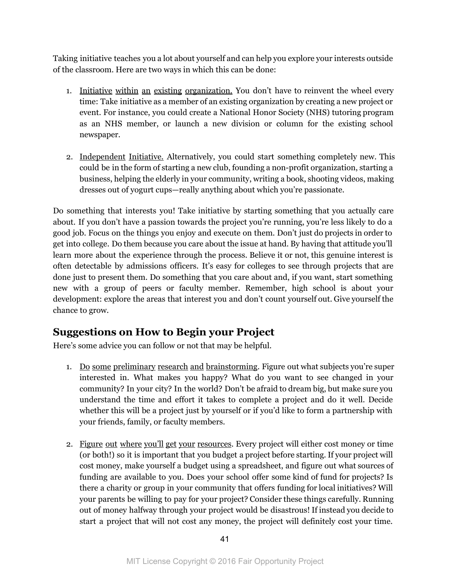Taking initiative teaches you a lot about yourself and can help you explore your interests outside of the classroom. Here are two ways in which this can be done:

- 1. Initiative within an existing organization. You don't have to reinvent the wheel every time: Take initiative as a member of an existing organization by creating a new project or event. For instance, you could create a National Honor Society (NHS) tutoring program as an NHS member, or launch a new division or column for the existing school newspaper.
- 2. Independent Initiative. Alternatively, you could start something completely new. This could be in the form of starting a new club, founding a non-profit organization, starting a business, helping the elderly in your community, writing a book, shooting videos, making dresses out of yogurt cups—really anything about which you're passionate.

Do something that interests you! Take initiative by starting something that you actually care about. If you don't have a passion towards the project you're running, you're less likely to do a good job. Focus on the things you enjoy and execute on them. Don't just do projects in order to get into college. Do them because you care about the issue at hand. By having that attitude you'll learn more about the experience through the process. Believe it or not, this genuine interest is often detectable by admissions officers. It's easy for colleges to see through projects that are done just to present them. Do something that you care about and, if you want, start something new with a group of peers or faculty member. Remember, high school is about your development: explore the areas that interest you and don't count yourself out. Give yourself the chance to grow.

#### **Suggestions on How to Begin your Project**

Here's some advice you can follow or not that may be helpful.

- 1. Do some preliminary research and brainstorming. Figure out what subjects you're super interested in. What makes you happy? What do you want to see changed in your community? In your city? In the world? Don't be afraid to dream big, but make sure you understand the time and effort it takes to complete a project and do it well. Decide whether this will be a project just by yourself or if you'd like to form a partnership with your friends, family, or faculty members.
- 2. Figure out where you'll get your resources. Every project will either cost money or time (or both!) so it is important that you budget a project before starting. If your project will cost money, make yourself a budget using a spreadsheet, and figure out what sources of funding are available to you. Does your school offer some kind of fund for projects? Is there a charity or group in your community that offers funding for local initiatives? Will your parents be willing to pay for your project? Consider these things carefully. Running out of money halfway through your project would be disastrous! If instead you decide to start a project that will not cost any money, the project will definitely cost your time.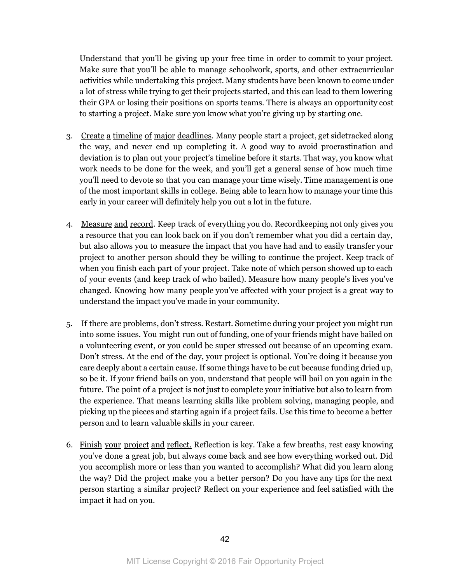Understand that you'll be giving up your free time in order to commit to your project. Make sure that you'll be able to manage schoolwork, sports, and other extracurricular activities while undertaking this project. Many students have been known to come under a lot of stress while trying to get their projects started, and this can lead to them lowering their GPA or losing their positions on sports teams. There is always an opportunity cost to starting a project. Make sure you know what you're giving up by starting one.

- 3. Create a timeline of major deadlines. Many people start a project, get sidetracked along the way, and never end up completing it. A good way to avoid procrastination and deviation is to plan out your project's timeline before it starts. That way, you know what work needs to be done for the week, and you'll get a general sense of how much time you'll need to devote so that you can manage your time wisely. Time management is one of the most important skills in college. Being able to learn how to manage your time this early in your career will definitely help you out a lot in the future.
- 4. Measure and record. Keep track of everything you do. Recordkeeping not only gives you a resource that you can look back on if you don't remember what you did a certain day, but also allows you to measure the impact that you have had and to easily transfer your project to another person should they be willing to continue the project. Keep track of when you finish each part of your project. Take note of which person showed up to each of your events (and keep track of who bailed). Measure how many people's lives you've changed. Knowing how many people you've affected with your project is a great way to understand the impact you've made in your community.
- 5. If there are problems, don't stress. Restart. Sometime during your project you might run into some issues. You might run out of funding, one of your friends might have bailed on a volunteering event, or you could be super stressed out because of an upcoming exam. Don't stress. At the end of the day, your project is optional. You're doing it because you care deeply about a certain cause. If some things have to be cut because funding dried up, so be it. If your friend bails on you, understand that people will bail on you again in the future. The point of a project is not just to complete your initiative but also to learn from the experience. That means learning skills like problem solving, managing people, and picking up the pieces and starting again if a project fails. Use this time to become a better person and to learn valuable skills in your career.
- 6. Finish your project and reflect. Reflection is key. Take a few breaths, rest easy knowing you've done a great job, but always come back and see how everything worked out. Did you accomplish more or less than you wanted to accomplish? What did you learn along the way? Did the project make you a better person? Do you have any tips for the next person starting a similar project? Reflect on your experience and feel satisfied with the impact it had on you.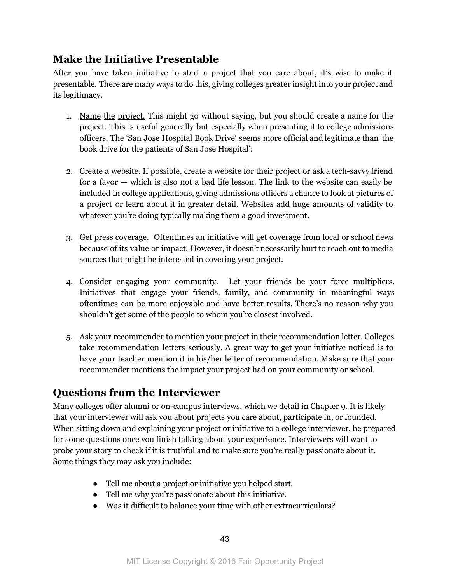#### **Make the Initiative Presentable**

After you have taken initiative to start a project that you care about, it's wise to make it presentable. There are many ways to do this, giving colleges greater insight into your project and its legitimacy.

- 1. Name the project. This might go without saying, but you should create a name for the project. This is useful generally but especially when presenting it to college admissions officers. The 'San Jose Hospital Book Drive' seems more official and legitimate than 'the book drive for the patients of San Jose Hospital'.
- 2. Create a website. If possible, create a website for their project or ask a tech-savvy friend for a favor — which is also not a bad life lesson. The link to the website can easily be included in college applications, giving admissions officers a chance to look at pictures of a project or learn about it in greater detail. Websites add huge amounts of validity to whatever you're doing typically making them a good investment.
- 3. Get press coverage. Oftentimes an initiative will get coverage from local or school news because of its value or impact. However, it doesn't necessarily hurt to reach out to media sources that might be interested in covering your project.
- 4. Consider engaging your community. Let your friends be your force multipliers. Initiatives that engage your friends, family, and community in meaningful ways oftentimes can be more enjoyable and have better results. There's no reason why you shouldn't get some of the people to whom you're closest involved.
- 5. Ask your recommender to mention your project in their recommendation letter. Colleges take recommendation letters seriously. A great way to get your initiative noticed is to have your teacher mention it in his/her letter of recommendation. Make sure that your recommender mentions the impact your project had on your community or school.

### **Questions from the Interviewer**

Many colleges offer alumni or on-campus interviews, which we detail in Chapter 9. It is likely that your interviewer will ask you about projects you care about, participate in, or founded. When sitting down and explaining your project or initiative to a college interviewer, be prepared for some questions once you finish talking about your experience. Interviewers will want to probe your story to check if it is truthful and to make sure you're really passionate about it. Some things they may ask you include:

- Tell me about a project or initiative you helped start.
- Tell me why you're passionate about this initiative.
- Was it difficult to balance your time with other extracurriculars?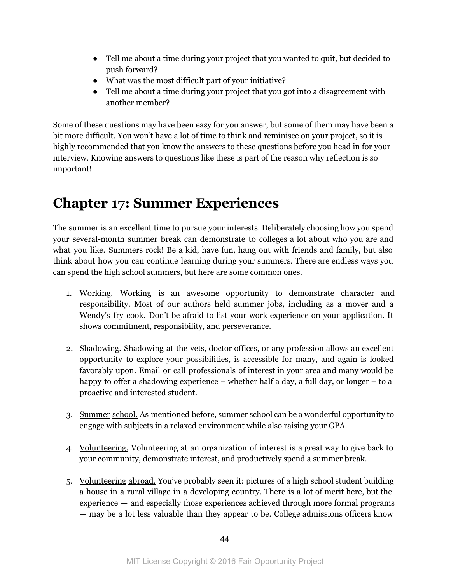- Tell me about a time during your project that you wanted to quit, but decided to push forward?
- What was the most difficult part of your initiative?
- Tell me about a time during your project that you got into a disagreement with another member?

Some of these questions may have been easy for you answer, but some of them may have been a bit more difficult. You won't have a lot of time to think and reminisce on your project, so it is highly recommended that you know the answers to these questions before you head in for your interview. Knowing answers to questions like these is part of the reason why reflection is so important!

# **Chapter 17: Summer Experiences**

The summer is an excellent time to pursue your interests. Deliberately choosing how you spend your several-month summer break can demonstrate to colleges a lot about who you are and what you like. Summers rock! Be a kid, have fun, hang out with friends and family, but also think about how you can continue learning during your summers. There are endless ways you can spend the high school summers, but here are some common ones.

- 1. Working. Working is an awesome opportunity to demonstrate character and responsibility. Most of our authors held summer jobs, including as a mover and a Wendy's fry cook. Don't be afraid to list your work experience on your application. It shows commitment, responsibility, and perseverance.
- 2. Shadowing. Shadowing at the vets, doctor offices, or any profession allows an excellent opportunity to explore your possibilities, is accessible for many, and again is looked favorably upon. Email or call professionals of interest in your area and many would be happy to offer a shadowing experience – whether half a day, a full day, or longer – to a proactive and interested student.
- 3. Summer school. As mentioned before, summer school can be a wonderful opportunity to engage with subjects in a relaxed environment while also raising your GPA.
- 4. Volunteering. Volunteering at an organization of interest is a great way to give back to your community, demonstrate interest, and productively spend a summer break.
- 5. Volunteering abroad. You've probably seen it: pictures of a high school student building a house in a rural village in a developing country. There is a lot of merit here, but the experience — and especially those experiences achieved through more formal programs — may be a lot less valuable than they appear to be. College admissions officers know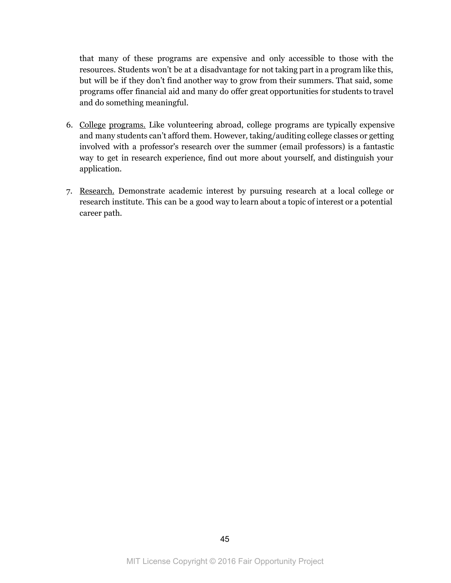that many of these programs are expensive and only accessible to those with the resources. Students won't be at a disadvantage for not taking part in a program like this, but will be if they don't find another way to grow from their summers. That said, some programs offer financial aid and many do offer great opportunities for students to travel and do something meaningful.

- 6. College programs. Like volunteering abroad, college programs are typically expensive and many students can't afford them. However*,* taking/auditing college classes or getting involved with a professor's research over the summer (email professors) is a fantastic way to get in research experience, find out more about yourself, and distinguish your application.
- 7. Research. Demonstrate academic interest by pursuing research at a local college or research institute. This can be a good way to learn about a topic of interest or a potential career path.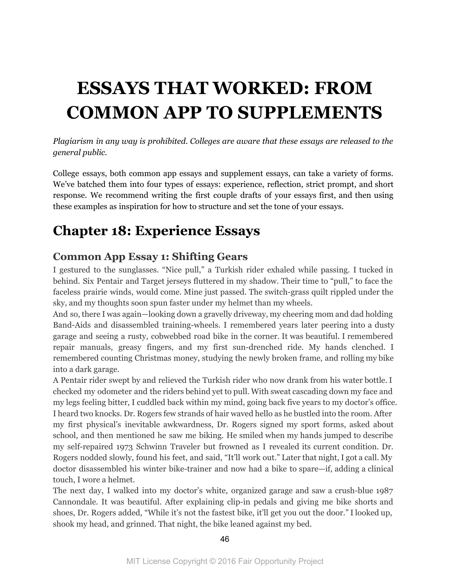# **ESSAYS THAT WORKED: FROM COMMON APP TO SUPPLEMENTS**

*Plagiarism in any way is prohibited. Colleges are aware that these essays are released to the general public.*

College essays, both common app essays and supplement essays, can take a variety of forms. We've batched them into four types of essays: experience, reflection, strict prompt, and short response. We recommend writing the first couple drafts of your essays first, and then using these examples as inspiration for how to structure and set the tone of your essays.

# **Chapter 18: Experience Essays**

#### **Common App Essay 1: Shifting Gears**

I gestured to the sunglasses. "Nice pull," a Turkish rider exhaled while passing. I tucked in behind. Six Pentair and Target jerseys fluttered in my shadow. Their time to "pull," to face the faceless prairie winds, would come. Mine just passed. The switch-grass quilt rippled under the sky, and my thoughts soon spun faster under my helmet than my wheels.

And so, there I was again—looking down a gravelly driveway, my cheering mom and dad holding Band-Aids and disassembled training-wheels. I remembered years later peering into a dusty garage and seeing a rusty, cobwebbed road bike in the corner. It was beautiful. I remembered repair manuals, greasy fingers, and my first sun-drenched ride. My hands clenched. I remembered counting Christmas money, studying the newly broken frame, and rolling my bike into a dark garage.

A Pentair rider swept by and relieved the Turkish rider who now drank from his water bottle. I checked my odometer and the riders behind yet to pull. With sweat cascading down my face and my legs feeling bitter, I cuddled back within my mind, going back five years to my doctor's office. I heard two knocks. Dr. Rogers few strands of hair waved hello as he bustled into the room. After my first physical's inevitable awkwardness, Dr. Rogers signed my sport forms, asked about school, and then mentioned he saw me biking. He smiled when my hands jumped to describe my selfrepaired 1973 Schwinn Traveler but frowned as I revealed its current condition. Dr. Rogers nodded slowly, found his feet, and said, "It'll work out." Later that night, I got a call. My doctor disassembled his winter bike-trainer and now had a bike to spare—if, adding a clinical touch, I wore a helmet.

The next day, I walked into my doctor's white, organized garage and saw a crush-blue 1987 Cannondale. It was beautiful. After explaining clip-in pedals and giving me bike shorts and shoes, Dr. Rogers added, "While it's not the fastest bike, it'll get you out the door." I looked up, shook my head, and grinned. That night, the bike leaned against my bed.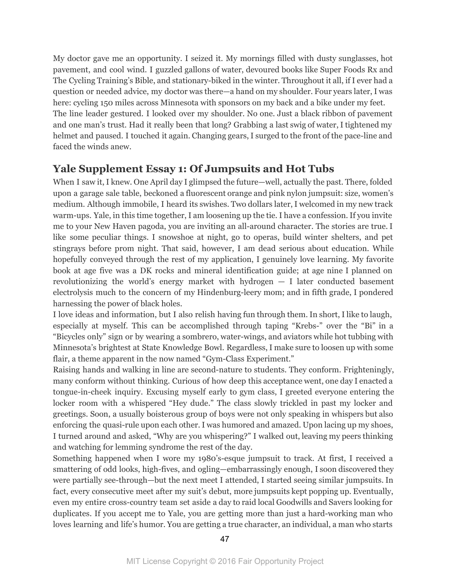My doctor gave me an opportunity. I seized it. My mornings filled with dusty sunglasses, hot pavement, and cool wind. I guzzled gallons of water, devoured books like Super Foods Rx and The Cycling Training's Bible, and stationary-biked in the winter. Throughout it all, if I ever had a question or needed advice, my doctor was there—a hand on my shoulder. Four years later, I was here: cycling 150 miles across Minnesota with sponsors on my back and a bike under my feet. The line leader gestured. I looked over my shoulder. No one. Just a black ribbon of pavement and one man's trust. Had it really been that long? Grabbing a last swig of water, I tightened my helmet and paused. I touched it again. Changing gears, I surged to the front of the pace-line and faced the winds anew.

#### **Yale Supplement Essay 1: Of Jumpsuits and Hot Tubs**

When I saw it, I knew. One April day I glimpsed the future—well, actually the past. There, folded upon a garage sale table, beckoned a fluorescent orange and pink nylon jumpsuit: size, women's medium. Although immobile, I heard its swishes. Two dollars later, I welcomed in my new track warm-ups. Yale, in this time together, I am loosening up the tie. I have a confession. If you invite me to your New Haven pagoda, you are inviting an all-around character. The stories are true. I like some peculiar things. I snowshoe at night, go to operas, build winter shelters, and pet stingrays before prom night. That said, however, I am dead serious about education. While hopefully conveyed through the rest of my application, I genuinely love learning. My favorite book at age five was a DK rocks and mineral identification guide; at age nine I planned on revolutionizing the world's energy market with hydrogen — I later conducted basement electrolysis much to the concern of my Hindenburg-leery mom; and in fifth grade, I pondered harnessing the power of black holes.

I love ideas and information, but I also relish having fun through them. In short, I like to laugh, especially at myself. This can be accomplished through taping "Krebs-" over the "Bi" in a "Bicycles only" sign or by wearing a sombrero, water-wings, and aviators while hot tubbing with Minnesota's brightest at State Knowledge Bowl. Regardless, I make sure to loosen up with some flair, a theme apparent in the now named "Gym-Class Experiment."

Raising hands and walking in line are second-nature to students. They conform. Frighteningly, many conform without thinking. Curious of how deep this acceptance went, one day I enacted a tongue-in-cheek inquiry. Excusing myself early to gym class, I greeted everyone entering the locker room with a whispered "Hey dude." The class slowly trickled in past my locker and greetings. Soon, a usually boisterous group of boys were not only speaking in whispers but also enforcing the quasi-rule upon each other. I was humored and amazed. Upon lacing up my shoes, I turned around and asked, "Why are you whispering?" I walked out, leaving my peers thinking and watching for lemming syndrome the rest of the day.

Something happened when I wore my 1980's-esque jumpsuit to track. At first, I received a smattering of odd looks, high-fives, and ogling—embarrassingly enough, I soon discovered they were partially see-through—but the next meet I attended, I started seeing similar jumpsuits. In fact, every consecutive meet after my suit's debut, more jumpsuits kept popping up. Eventually, even my entire cross-country team set aside a day to raid local Goodwills and Savers looking for duplicates. If you accept me to Yale, you are getting more than just a hard-working man who loves learning and life's humor. You are getting a true character, an individual, a man who starts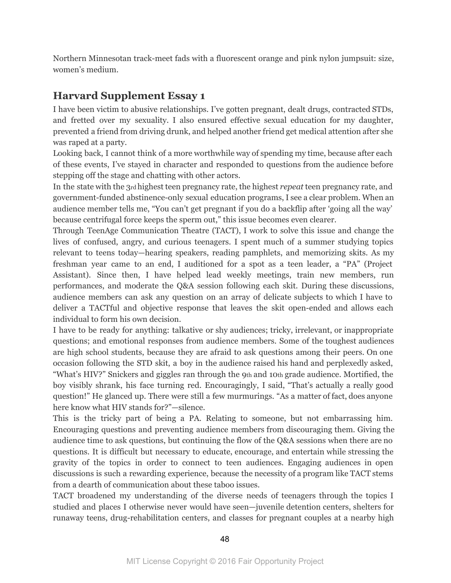Northern Minnesotan track-meet fads with a fluorescent orange and pink nylon jumpsuit: size, women's medium.

#### **Harvard Supplement Essay 1**

I have been victim to abusive relationships. I've gotten pregnant, dealt drugs, contracted STDs, and fretted over my sexuality. I also ensured effective sexual education for my daughter, prevented a friend from driving drunk, and helped another friend get medical attention after she was raped at a party.

Looking back, I cannot think of a more worthwhile way of spending my time, because after each of these events, I've stayed in character and responded to questions from the audience before stepping off the stage and chatting with other actors.

In the state with the 3rdhighest teen pregnancy rate, the highest *repeat* teen pregnancy rate, and government-funded abstinence-only sexual education programs, I see a clear problem. When an audience member tells me, "You can't get pregnant if you do a backflip after 'going all the way' because centrifugal force keeps the sperm out," this issue becomes even clearer.

Through TeenAge Communication Theatre (TACT), I work to solve this issue and change the lives of confused, angry, and curious teenagers. I spent much of a summer studying topics relevant to teens today—hearing speakers, reading pamphlets, and memorizing skits. As my freshman year came to an end, I auditioned for a spot as a teen leader, a "PA" (Project Assistant). Since then, I have helped lead weekly meetings, train new members, run performances, and moderate the Q&A session following each skit. During these discussions, audience members can ask any question on an array of delicate subjects to which I have to deliver a TACTful and objective response that leaves the skit openended and allows each individual to form his own decision.

I have to be ready for anything: talkative or shy audiences; tricky, irrelevant, or inappropriate questions; and emotional responses from audience members. Some of the toughest audiences are high school students, because they are afraid to ask questions among their peers. On one occasion following the STD skit, a boy in the audience raised his hand and perplexedly asked, "What's HIV?" Snickers and giggles ran through the 9th and 10th grade audience. Mortified, the boy visibly shrank, his face turning red. Encouragingly, I said, "That's actually a really good question!" He glanced up. There were still a few murmurings. "As a matter of fact, does anyone here know what HIV stands for?"—silence.

This is the tricky part of being a PA. Relating to someone, but not embarrassing him. Encouraging questions and preventing audience members from discouraging them. Giving the audience time to ask questions, but continuing the flow of the Q&A sessions when there are no questions. It is difficult but necessary to educate, encourage, and entertain while stressing the gravity of the topics in order to connect to teen audiences. Engaging audiences in open discussions is such a rewarding experience, because the necessity of a program like TACT stems from a dearth of communication about these taboo issues.

TACT broadened my understanding of the diverse needs of teenagers through the topics I studied and places I otherwise never would have seen—juvenile detention centers, shelters for runaway teens, drug-rehabilitation centers, and classes for pregnant couples at a nearby high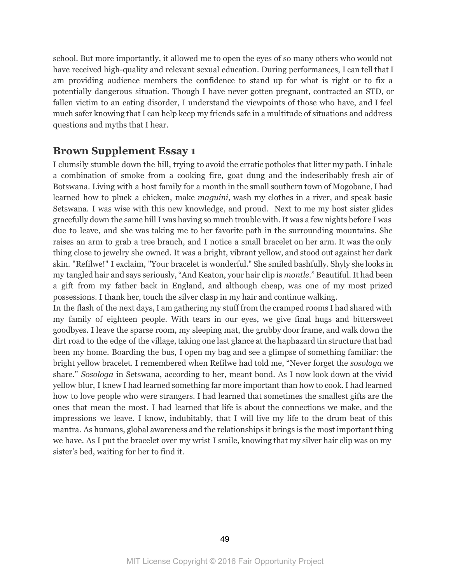school. But more importantly, it allowed me to open the eyes of so many others who would not have received high-quality and relevant sexual education. During performances, I can tell that I am providing audience members the confidence to stand up for what is right or to fix a potentially dangerous situation. Though I have never gotten pregnant, contracted an STD, or fallen victim to an eating disorder, I understand the viewpoints of those who have, and I feel much safer knowing that I can help keep my friends safe in a multitude of situations and address questions and myths that I hear.

#### **Brown Supplement Essay 1**

I clumsily stumble down the hill, trying to avoid the erratic potholes that litter my path. I inhale a combination of smoke from a cooking fire, goat dung and the indescribably fresh air of Botswana. Living with a host family for a month in the small southern town of Mogobane, I had learned how to pluck a chicken, make *maguini*, wash my clothes in a river, and speak basic Setswana. I was wise with this new knowledge, and proud. Next to me my host sister glides gracefully down the same hill I was having so much trouble with. It was a few nights before I was due to leave, and she was taking me to her favorite path in the surrounding mountains. She raises an arm to grab a tree branch, and I notice a small bracelet on her arm. It was the only thing close to jewelry she owned. It was a bright, vibrant yellow, and stood out against her dark skin. "Refilwe!" I exclaim, "Your bracelet is wonderful." She smiled bashfully. Shyly she looks in my tangled hair and says seriously, "And Keaton, your hair clip is *montle.*" Beautiful. It had been a gift from my father back in England, and although cheap, was one of my most prized possessions. I thank her, touch the silver clasp in my hair and continue walking.

In the flash of the next days, I am gathering my stuff from the cramped rooms I had shared with my family of eighteen people. With tears in our eyes, we give final hugs and bittersweet goodbyes. I leave the sparse room, my sleeping mat, the grubby door frame, and walk down the dirt road to the edge of the village, taking one last glance at the haphazard tin structure that had been my home. Boarding the bus, I open my bag and see a glimpse of something familiar: the bright yellow bracelet. I remembered when Refilwe had told me, "Never forget the *sosologa* we share." *Sosologa* in Setswana, according to her, meant bond. As I now look down at the vivid yellow blur, I knew I had learned something far more important than how to cook. I had learned how to love people who were strangers. I had learned that sometimes the smallest gifts are the ones that mean the most. I had learned that life is about the connections we make, and the impressions we leave. I know, indubitably, that I will live my life to the drum beat of this mantra. As humans, global awareness and the relationships it brings is the most important thing we have. As I put the bracelet over my wrist I smile, knowing that my silver hair clip was on my sister's bed, waiting for her to find it.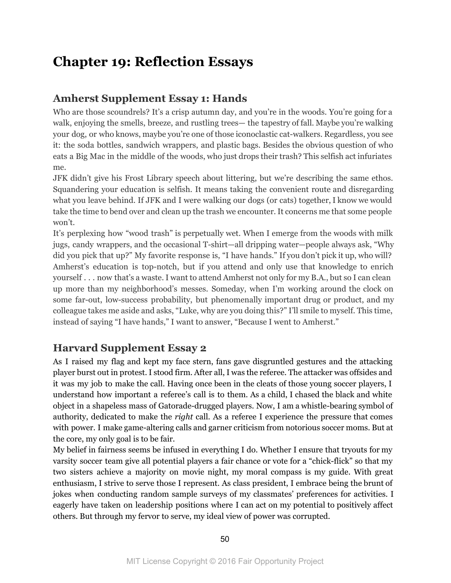## **Chapter 19: Reflection Essays**

#### **Amherst Supplement Essay 1: Hands**

Who are those scoundrels? It's a crisp autumn day, and you're in the woods. You're going for a walk, enjoying the smells, breeze, and rustling trees— the tapestry of fall. Maybe you're walking your dog, or who knows, maybe you're one of those iconoclastic catwalkers. Regardless, you see it: the soda bottles, sandwich wrappers, and plastic bags. Besides the obvious question of who eats a Big Mac in the middle of the woods, who just drops their trash? This selfish act infuriates me.

JFK didn't give his Frost Library speech about littering, but we're describing the same ethos. Squandering your education is selfish. It means taking the convenient route and disregarding what you leave behind. If JFK and I were walking our dogs (or cats) together, I know we would take the time to bend over and clean up the trash we encounter. It concerns me that some people won't.

It's perplexing how "wood trash" is perpetually wet. When I emerge from the woods with milk jugs, candy wrappers, and the occasional T-shirt—all dripping water—people always ask, "Why" did you pick that up?" My favorite response is, "I have hands." If you don't pick it up, who will? Amherst's education is top-notch, but if you attend and only use that knowledge to enrich yourself . . . now that's a waste. I want to attend Amherst not only for my B.A., but so I can clean up more than my neighborhood's messes. Someday, when I'm working around the clock on some far-out, low-success probability, but phenomenally important drug or product, and my colleague takes me aside and asks, "Luke, why are you doing this?" I'll smile to myself. This time, instead of saying "I have hands," I want to answer, "Because I went to Amherst."

#### **Harvard Supplement Essay 2**

As I raised my flag and kept my face stern, fans gave disgruntled gestures and the attacking player burst out in protest. I stood firm. After all, I was the referee. The attacker was offsides and it was my job to make the call. Having once been in the cleats of those young soccer players, I understand how important a referee's call is to them. As a child, I chased the black and white object in a shapeless mass of Gatorade-drugged players. Now, I am a whistle-bearing symbol of authority, dedicated to make the *right* call. As a referee I experience the pressure that comes with power. I make game-altering calls and garner criticism from notorious soccer moms. But at the core, my only goal is to be fair.

My belief in fairness seems be infused in everything I do. Whether I ensure that tryouts for my varsity soccer team give all potential players a fair chance or vote for a "chick-flick" so that my two sisters achieve a majority on movie night, my moral compass is my guide. With great enthusiasm, I strive to serve those I represent. As class president, I embrace being the brunt of jokes when conducting random sample surveys of my classmates' preferences for activities. I eagerly have taken on leadership positions where I can act on my potential to positively affect others. But through my fervor to serve, my ideal view of power was corrupted.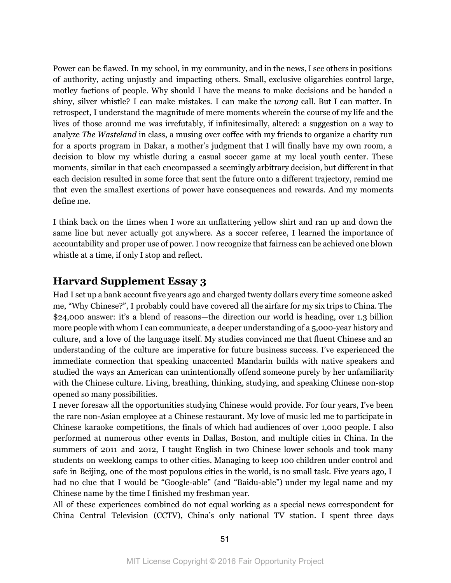Power can be flawed. In my school, in my community, and in the news, I see others in positions of authority, acting unjustly and impacting others. Small, exclusive oligarchies control large, motley factions of people. Why should I have the means to make decisions and be handed a shiny, silver whistle? I can make mistakes. I can make the *wrong* call. But I can matter. In retrospect, I understand the magnitude of mere moments wherein the course of my life and the lives of those around me was irrefutably, if infinitesimally, altered: a suggestion on a way to analyze *The Wasteland* in class, a musing over coffee with my friends to organize a charity run for a sports program in Dakar, a mother's judgment that I will finally have my own room, a decision to blow my whistle during a casual soccer game at my local youth center. These moments, similar in that each encompassed a seemingly arbitrary decision, but different in that each decision resulted in some force that sent the future onto a different trajectory, remind me that even the smallest exertions of power have consequences and rewards. And my moments define me.

I think back on the times when I wore an unflattering yellow shirt and ran up and down the same line but never actually got anywhere. As a soccer referee, I learned the importance of accountability and proper use of power. I now recognize that fairness can be achieved one blown whistle at a time, if only I stop and reflect.

#### **Harvard Supplement Essay 3**

Had I set up a bank account five years ago and charged twenty dollars every time someone asked me, "Why Chinese?", I probably could have covered all the airfare for my six trips to China. The \$24,000 answer: it's a blend of reasons—the direction our world is heading, over 1.3 billion more people with whom I can communicate, a deeper understanding of a 5,000-year history and culture, and a love of the language itself. My studies convinced me that fluent Chinese and an understanding of the culture are imperative for future business success. I've experienced the immediate connection that speaking unaccented Mandarin builds with native speakers and studied the ways an American can unintentionally offend someone purely by her unfamiliarity with the Chinese culture. Living, breathing, thinking, studying, and speaking Chinese non-stop opened so many possibilities.

I never foresaw all the opportunities studying Chinese would provide. For four years, I've been the rare non-Asian employee at a Chinese restaurant. My love of music led me to participate in Chinese karaoke competitions, the finals of which had audiences of over 1,000 people. I also performed at numerous other events in Dallas, Boston, and multiple cities in China. In the summers of 2011 and 2012, I taught English in two Chinese lower schools and took many students on weeklong camps to other cities. Managing to keep 100 children under control and safe in Beijing, one of the most populous cities in the world, is no small task. Five years ago, I had no clue that I would be "Google-able" (and "Baidu-able") under my legal name and my Chinese name by the time I finished my freshman year.

All of these experiences combined do not equal working as a special news correspondent for China Central Television (CCTV), China's only national TV station. I spent three days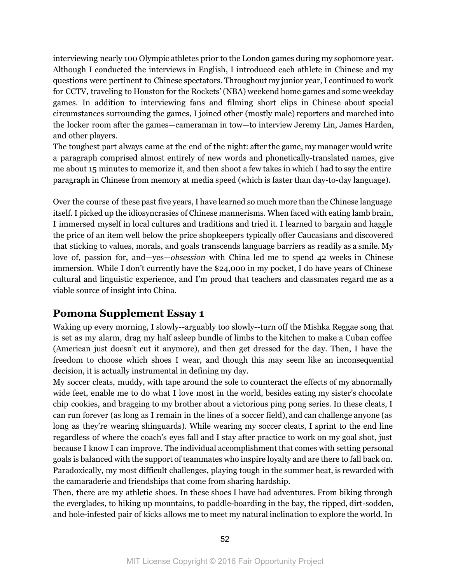interviewing nearly 100 Olympic athletes prior to the London games during my sophomore year. Although I conducted the interviews in English, I introduced each athlete in Chinese and my questions were pertinent to Chinese spectators. Throughout my junior year, I continued to work for CCTV, traveling to Houston for the Rockets' (NBA) weekend home games and some weekday games. In addition to interviewing fans and filming short clips in Chinese about special circumstances surrounding the games, I joined other (mostly male) reporters and marched into the locker room after the games—cameraman in tow—to interview Jeremy Lin, James Harden, and other players.

The toughest part always came at the end of the night: after the game, my manager would write a paragraph comprised almost entirely of new words and phonetically-translated names, give me about 15 minutes to memorize it, and then shoot a few takes in which I had to say the entire paragraph in Chinese from memory at media speed (which is faster than day-to-day language).

Over the course of these past five years, I have learned so much more than the Chinese language itself. I picked up the idiosyncrasies of Chinese mannerisms. When faced with eating lamb brain, I immersed myself in local cultures and traditions and tried it. I learned to bargain and haggle the price of an item well below the price shopkeepers typically offer Caucasians and discovered that sticking to values, morals, and goals transcends language barriers as readily as a smile. My love of, passion for, and—yes—*obsession* with China led me to spend 42 weeks in Chinese immersion. While I don't currently have the \$24,000 in my pocket, I do have years of Chinese cultural and linguistic experience, and I'm proud that teachers and classmates regard me as a viable source of insight into China.

#### **Pomona Supplement Essay 1**

Waking up every morning, I slowly--arguably too slowly--turn off the Mishka Reggae song that is set as my alarm, drag my half asleep bundle of limbs to the kitchen to make a Cuban coffee (American just doesn't cut it anymore), and then get dressed for the day. Then, I have the freedom to choose which shoes I wear, and though this may seem like an inconsequential decision, it is actually instrumental in defining my day.

My soccer cleats, muddy, with tape around the sole to counteract the effects of my abnormally wide feet, enable me to do what I love most in the world, besides eating my sister's chocolate chip cookies, and bragging to my brother about a victorious ping pong series. In these cleats, I can run forever (as long as I remain in the lines of a soccer field), and can challenge anyone (as long as they're wearing shinguards). While wearing my soccer cleats, I sprint to the end line regardless of where the coach's eyes fall and I stay after practice to work on my goal shot, just because I know I can improve. The individual accomplishment that comes with setting personal goals is balanced with the support of teammates who inspire loyalty and are there to fall back on. Paradoxically, my most difficult challenges, playing tough in the summer heat, is rewarded with the camaraderie and friendships that come from sharing hardship.

Then, there are my athletic shoes. In these shoes I have had adventures. From biking through the everglades, to hiking up mountains, to paddle-boarding in the bay, the ripped, dirt-sodden, and hole-infested pair of kicks allows me to meet my natural inclination to explore the world. In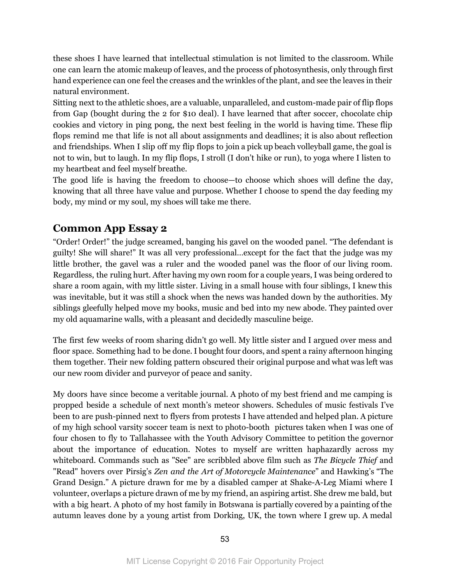these shoes I have learned that intellectual stimulation is not limited to the classroom. While one can learn the atomic makeup of leaves, and the process of photosynthesis, only through first hand experience can one feel the creases and the wrinkles of the plant, and see the leaves in their natural environment.

Sitting next to the athletic shoes, are a valuable, unparalleled, and custom-made pair of flip flops from Gap (bought during the 2 for \$10 deal). I have learned that after soccer, chocolate chip cookies and victory in ping pong, the next best feeling in the world is having time. These flip flops remind me that life is not all about assignments and deadlines; it is also about reflection and friendships. When I slip off my flip flops to join a pick up beach volleyball game, the goal is not to win, but to laugh. In my flip flops, I stroll (I don't hike or run), to yoga where I listen to my heartbeat and feel myself breathe.

The good life is having the freedom to choose—to choose which shoes will define the day, knowing that all three have value and purpose. Whether I choose to spend the day feeding my body, my mind or my soul, my shoes will take me there.

#### **Common App Essay 2**

"Order! Order!" the judge screamed, banging his gavel on the wooded panel. "The defendant is guilty! She will share!" It was all very professional…except for the fact that the judge was my little brother, the gavel was a ruler and the wooded panel was the floor of our living room. Regardless, the ruling hurt. After having my own room for a couple years, I was being ordered to share a room again, with my little sister. Living in a small house with four siblings, I knew this was inevitable, but it was still a shock when the news was handed down by the authorities. My siblings gleefully helped move my books, music and bed into my new abode. They painted over my old aquamarine walls, with a pleasant and decidedly masculine beige.

The first few weeks of room sharing didn't go well. My little sister and I argued over mess and floor space. Something had to be done. I bought four doors, and spent a rainy afternoon hinging them together. Their new folding pattern obscured their original purpose and what was left was our new room divider and purveyor of peace and sanity.

My doors have since become a veritable journal. A photo of my best friend and me camping is propped beside a schedule of next month's meteor showers. Schedules of music festivals I've been to are push-pinned next to flyers from protests I have attended and helped plan. A picture of my high school varsity soccer team is next to photo-booth pictures taken when I was one of four chosen to fly to Tallahassee with the Youth Advisory Committee to petition the governor about the importance of education. Notes to myself are written haphazardly across my whiteboard. Commands such as "See" are scribbled above film such as *The Bicycle Thief* and "Read" hovers over Pirsig's *Zen and the Art of Motorcycle Maintenance*" and Hawking's "The Grand Design." A picture drawn for me by a disabled camper at ShakeALeg Miami where I volunteer, overlaps a picture drawn of me by my friend, an aspiring artist. She drew me bald, but with a big heart. A photo of my host family in Botswana is partially covered by a painting of the autumn leaves done by a young artist from Dorking, UK, the town where I grew up. A medal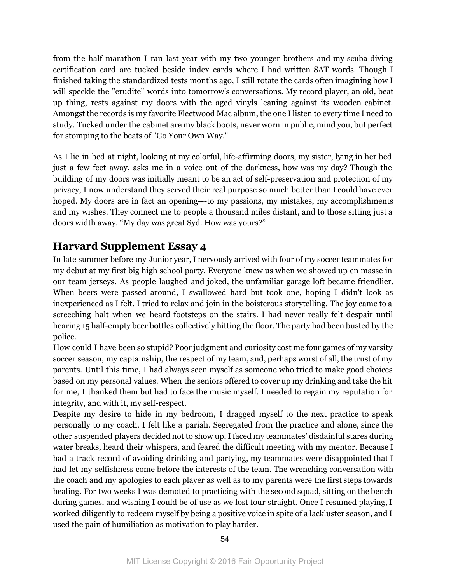from the half marathon I ran last year with my two younger brothers and my scuba diving certification card are tucked beside index cards where I had written SAT words. Though I finished taking the standardized tests months ago, I still rotate the cards often imagining how I will speckle the "erudite" words into tomorrow's conversations. My record player, an old, beat up thing, rests against my doors with the aged vinyls leaning against its wooden cabinet. Amongst the records is my favorite Fleetwood Mac album, the one I listen to every time I need to study. Tucked under the cabinet are my black boots, never worn in public, mind you, but perfect for stomping to the beats of "Go Your Own Way."

As I lie in bed at night, looking at my colorful, life-affirming doors, my sister, lying in her bed just a few feet away, asks me in a voice out of the darkness, how was my day? Though the building of my doors was initially meant to be an act of self-preservation and protection of my privacy, I now understand they served their real purpose so much better than I could have ever hoped. My doors are in fact an opening---to my passions, my mistakes, my accomplishments and my wishes. They connect me to people a thousand miles distant, and to those sitting just a doors width away. "My day was great Syd. How was yours?"

#### **Harvard Supplement Essay 4**

In late summer before my Junior year, I nervously arrived with four of my soccer teammates for my debut at my first big high school party. Everyone knew us when we showed up en masse in our team jerseys. As people laughed and joked, the unfamiliar garage loft became friendlier. When beers were passed around, I swallowed hard but took one, hoping I didn't look as inexperienced as I felt. I tried to relax and join in the boisterous storytelling. The joy came to a screeching halt when we heard footsteps on the stairs. I had never really felt despair until hearing 15 half-empty beer bottles collectively hitting the floor. The party had been busted by the police.

How could I have been so stupid? Poor judgment and curiosity cost me four games of my varsity soccer season, my captainship, the respect of my team, and, perhaps worst of all, the trust of my parents. Until this time, I had always seen myself as someone who tried to make good choices based on my personal values. When the seniors offered to cover up my drinking and take the hit for me, I thanked them but had to face the music myself. I needed to regain my reputation for integrity, and with it, my self-respect.

Despite my desire to hide in my bedroom, I dragged myself to the next practice to speak personally to my coach. I felt like a pariah. Segregated from the practice and alone, since the other suspended players decided not to show up, I faced my teammates' disdainful stares during water breaks, heard their whispers, and feared the difficult meeting with my mentor. Because I had a track record of avoiding drinking and partying, my teammates were disappointed that I had let my selfishness come before the interests of the team. The wrenching conversation with the coach and my apologies to each player as well as to my parents were the first steps towards healing. For two weeks I was demoted to practicing with the second squad, sitting on the bench during games, and wishing I could be of use as we lost four straight. Once I resumed playing, I worked diligently to redeem myself by being a positive voice in spite of a lackluster season, and I used the pain of humiliation as motivation to play harder.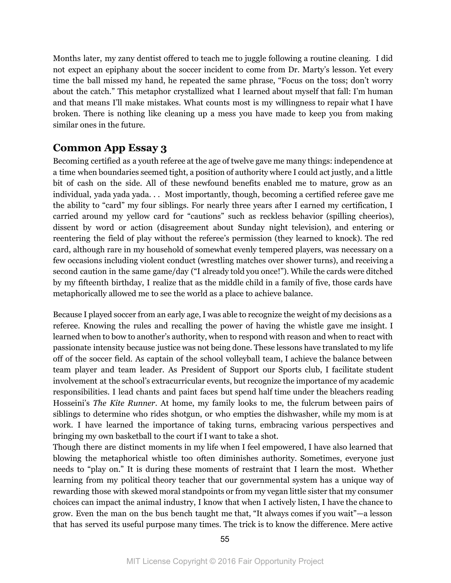Months later, my zany dentist offered to teach me to juggle following a routine cleaning. I did not expect an epiphany about the soccer incident to come from Dr. Marty's lesson. Yet every time the ball missed my hand, he repeated the same phrase, "Focus on the toss; don't worry about the catch." This metaphor crystallized what I learned about myself that fall: I'm human and that means I'll make mistakes. What counts most is my willingness to repair what I have broken. There is nothing like cleaning up a mess you have made to keep you from making similar ones in the future.

#### **Common App Essay 3**

Becoming certified as a youth referee at the age of twelve gave me many things: independence at a time when boundaries seemed tight, a position of authority where I could act justly, and a little bit of cash on the side. All of these newfound benefits enabled me to mature, grow as an individual, yada yada yada. . . Most importantly, though, becoming a certified referee gave me the ability to "card" my four siblings. For nearly three years after I earned my certification, I carried around my yellow card for "cautions" such as reckless behavior (spilling cheerios), dissent by word or action (disagreement about Sunday night television), and entering or reentering the field of play without the referee's permission (they learned to knock). The red card, although rare in my household of somewhat evenly tempered players, was necessary on a few occasions including violent conduct (wrestling matches over shower turns), and receiving a second caution in the same game/day ("I already told you once!"). While the cards were ditched by my fifteenth birthday, I realize that as the middle child in a family of five, those cards have metaphorically allowed me to see the world as a place to achieve balance.

Because I played soccer from an early age, I was able to recognize the weight of my decisions as a referee. Knowing the rules and recalling the power of having the whistle gave me insight. I learned when to bow to another's authority, when to respond with reason and when to react with passionate intensity because justice was not being done. These lessons have translated to my life off of the soccer field. As captain of the school volleyball team, I achieve the balance between team player and team leader. As President of Support our Sports club, I facilitate student involvement at the school's extracurricular events, but recognize the importance of my academic responsibilities. I lead chants and paint faces but spend half time under the bleachers reading Hosseini's *The Kite Runner*. At home, my family looks to me, the fulcrum between pairs of siblings to determine who rides shotgun, or who empties the dishwasher, while my mom is at work. I have learned the importance of taking turns, embracing various perspectives and bringing my own basketball to the court if I want to take a shot.

Though there are distinct moments in my life when I feel empowered, I have also learned that blowing the metaphorical whistle too often diminishes authority. Sometimes, everyone just needs to "play on." It is during these moments of restraint that I learn the most. Whether learning from my political theory teacher that our governmental system has a unique way of rewarding those with skewed moral standpoints or from my vegan little sister that my consumer choices can impact the animal industry, I know that when I actively listen, I have the chance to grow. Even the man on the bus bench taught me that, "It always comes if you wait"—a lesson that has served its useful purpose many times. The trick is to know the difference. Mere active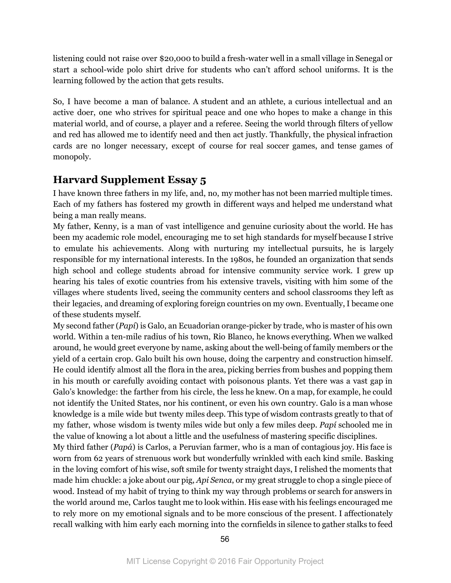listening could not raise over \$20,000 to build a fresh-water well in a small village in Senegal or start a school-wide polo shirt drive for students who can't afford school uniforms. It is the learning followed by the action that gets results.

So, I have become a man of balance. A student and an athlete, a curious intellectual and an active doer, one who strives for spiritual peace and one who hopes to make a change in this material world, and of course, a player and a referee. Seeing the world through filters of yellow and red has allowed me to identify need and then act justly. Thankfully, the physical infraction cards are no longer necessary, except of course for real soccer games, and tense games of monopoly.

#### **Harvard Supplement Essay 5**

I have known three fathers in my life, and, no, my mother has not been married multiple times. Each of my fathers has fostered my growth in different ways and helped me understand what being a man really means.

My father, Kenny, is a man of vast intelligence and genuine curiosity about the world. He has been my academic role model, encouraging me to set high standards for myself because I strive to emulate his achievements. Along with nurturing my intellectual pursuits, he is largely responsible for my international interests. In the 1980s, he founded an organization that sends high school and college students abroad for intensive community service work. I grew up hearing his tales of exotic countries from his extensive travels, visiting with him some of the villages where students lived, seeing the community centers and school classrooms they left as their legacies, and dreaming of exploring foreign countries on my own. Eventually, I became one of these students myself.

My second father (*Papí*) is Galo, an Ecuadorian orange-picker by trade, who is master of his own world. Within a ten-mile radius of his town, Rio Blanco, he knows everything. When we walked around, he would greet everyone by name, asking about the well-being of family members or the yield of a certain crop. Galo built his own house, doing the carpentry and construction himself. He could identify almost all the flora in the area, picking berries from bushes and popping them in his mouth or carefully avoiding contact with poisonous plants. Yet there was a vast gap in Galo's knowledge: the farther from his circle, the less he knew. On a map, for example, he could not identify the United States, nor his continent, or even his own country. Galo is a man whose knowledge is a mile wide but twenty miles deep. This type of wisdom contrasts greatly to that of my father, whose wisdom is twenty miles wide but only a few miles deep. *Papí* schooled me in the value of knowing a lot about a little and the usefulness of mastering specific disciplines.

My third father (*Papá*) is Carlos, a Peruvian farmer, who is a man of contagious joy. His face is worn from 62 years of strenuous work but wonderfully wrinkled with each kind smile. Basking in the loving comfort of his wise, soft smile for twenty straight days, I relished the moments that made him chuckle: a joke about our pig, *Api Senca*, or my great struggle to chop a single piece of wood. Instead of my habit of trying to think my way through problems or search for answers in the world around me, Carlos taught me to look within. His ease with his feelings encouraged me to rely more on my emotional signals and to be more conscious of the present. I affectionately recall walking with him early each morning into the cornfields in silence to gather stalks to feed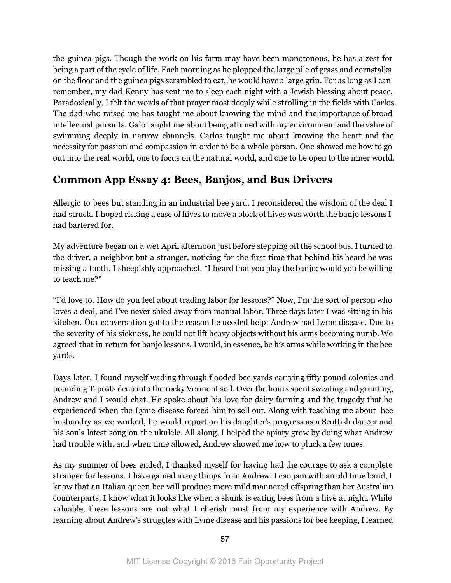the guinea pigs. Though the work on his farm may have been monotonous, he has a zest for being a part of the cycle of life. Each morning as he plopped the large pile of grass and cornstalks on the floor and the guinea pigs scrambled to eat, he would have a large grin. For as long as I can remember, my dad Kenny has sent me to sleep each night with a Jewish blessing about peace. Paradoxically, I felt the words of that prayer most deeply while strolling in the fields with Carlos. The dad who raised me has taught me about knowing the mind and the importance of broad intellectual pursuits. Galo taught me about being attuned with my environment and the value of swimming deeply in narrow channels. Carlos taught me about knowing the heart and the necessity for passion and compassion in order to be a whole person. One showed me how to go out into the real world, one to focus on the natural world, and one to be open to the inner world.

#### **Common App Essay 4: Bees, Banjos, and Bus Drivers**

Allergic to bees but standing in an industrial bee yard, I reconsidered the wisdom of the deal I had struck. I hoped risking a case of hives to move a block of hives was worth the banjo lessons I had bartered for.

My adventure began on a wet April afternoon just before stepping off the school bus. I turned to the driver, a neighbor but a stranger, noticing for the first time that behind his beard he was missing a tooth. I sheepishly approached. "I heard that you play the banjo; would you be willing to teach me?"

"I'd love to. How do you feel about trading labor for lessons?" Now, I'm the sort of person who loves a deal, and I've never shied away from manual labor. Three days later I was sitting in his kitchen. Our conversation got to the reason he needed help: Andrew had Lyme disease. Due to the severity of his sickness, he could not lift heavy objects without his arms becoming numb. We agreed that in return for banjo lessons, I would, in essence, be his arms while working in the bee yards.

Days later, I found myself wading through flooded bee yards carrying fifty pound colonies and pounding T-posts deep into the rocky Vermont soil. Over the hours spent sweating and grunting, Andrew and I would chat. He spoke about his love for dairy farming and the tragedy that he experienced when the Lyme disease forced him to sell out. Along with teaching me about bee husbandry as we worked, he would report on his daughter's progress as a Scottish dancer and his son's latest song on the ukulele. All along, I helped the apiary grow by doing what Andrew had trouble with, and when time allowed, Andrew showed me how to pluck a few tunes.

As my summer of bees ended, I thanked myself for having had the courage to ask a complete stranger for lessons. I have gained many things from Andrew: I can jam with an old time band, I know that an Italian queen bee will produce more mild mannered offspring than her Australian counterparts, I know what it looks like when a skunk is eating bees from a hive at night. While valuable, these lessons are not what I cherish most from my experience with Andrew. By learning about Andrew's struggles with Lyme disease and his passions for bee keeping, I learned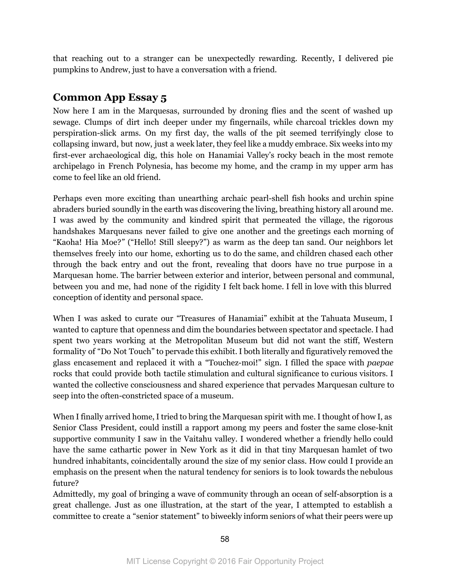that reaching out to a stranger can be unexpectedly rewarding. Recently, I delivered pie pumpkins to Andrew, just to have a conversation with a friend.

#### **Common App Essay 5**

Now here I am in the Marquesas, surrounded by droning flies and the scent of washed up sewage. Clumps of dirt inch deeper under my fingernails, while charcoal trickles down my perspiration-slick arms. On my first day, the walls of the pit seemed terrifyingly close to collapsing inward, but now, just a week later, they feel like a muddy embrace. Six weeks into my first-ever archaeological dig, this hole on Hanamiai Valley's rocky beach in the most remote archipelago in French Polynesia, has become my home, and the cramp in my upper arm has come to feel like an old friend.

Perhaps even more exciting than unearthing archaic pearl-shell fish hooks and urchin spine abraders buried soundly in the earth was discovering the living, breathing history all around me. I was awed by the community and kindred spirit that permeated the village, the rigorous handshakes Marquesans never failed to give one another and the greetings each morning of "Kaoha! Hia Moe?*"* ("Hello! Still sleepy?") as warm as the deep tan sand. Our neighbors let themselves freely into our home, exhorting us to do the same, and children chased each other through the back entry and out the front, revealing that doors have no true purpose in a Marquesan home. The barrier between exterior and interior, between personal and communal, between you and me, had none of the rigidity I felt back home. I fell in love with this blurred conception of identity and personal space.

When I was asked to curate our "Treasures of Hanamiai" exhibit at the Tahuata Museum, I wanted to capture that openness and dim the boundaries between spectator and spectacle. I had spent two years working at the Metropolitan Museum but did not want the stiff, Western formality of "Do Not Touch" to pervade this exhibit. I both literally and figuratively removed the glass encasement and replaced it with a "Touchezmoi!" sign. I filled the space with *paepae* rocks that could provide both tactile stimulation and cultural significance to curious visitors. I wanted the collective consciousness and shared experience that pervades Marquesan culture to seep into the often-constricted space of a museum.

When I finally arrived home, I tried to bring the Marquesan spirit with me. I thought of how I, as Senior Class President, could instill a rapport among my peers and foster the same close-knit supportive community I saw in the Vaitahu valley. I wondered whether a friendly hello could have the same cathartic power in New York as it did in that tiny Marquesan hamlet of two hundred inhabitants, coincidentally around the size of my senior class. How could I provide an emphasis on the present when the natural tendency for seniors is to look towards the nebulous future?

Admittedly, my goal of bringing a wave of community through an ocean of self-absorption is a great challenge. Just as one illustration, at the start of the year, I attempted to establish a committee to create a "senior statement" to biweekly inform seniors of what their peers were up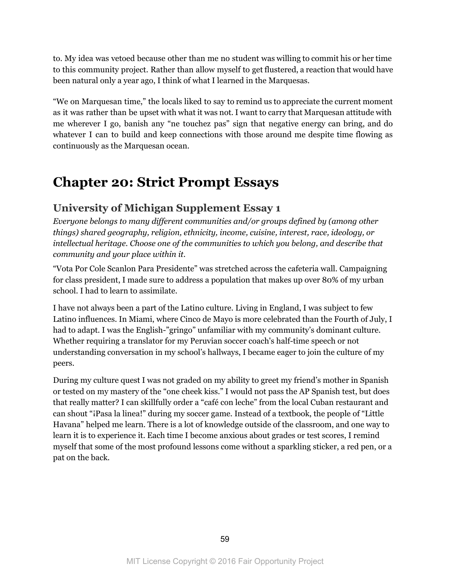to. My idea was vetoed because other than me no student was willing to commit his or her time to this community project. Rather than allow myself to get flustered, a reaction that would have been natural only a year ago, I think of what I learned in the Marquesas.

"We on Marquesan time," the locals liked to say to remind us to appreciate the current moment as it was rather than be upset with what it was not. I want to carry that Marquesan attitude with me wherever I go, banish any "ne touchez pas" sign that negative energy can bring, and do whatever I can to build and keep connections with those around me despite time flowing as continuously as the Marquesan ocean.

## **Chapter 20: Strict Prompt Essays**

#### **University of Michigan Supplement Essay 1**

*Everyone belongs to many dif erent communities and/or groups defined by (among other things) shared geography, religion, ethnicity, income, cuisine, interest, race, ideology, or intellectual heritage. Choose one of the communities to which you belong, and describe that community and your place within it.*

"Vota Por Cole Scanlon Para Presidente" was stretched across the cafeteria wall. Campaigning for class president, I made sure to address a population that makes up over 80% of my urban school. I had to learn to assimilate.

I have not always been a part of the Latino culture. Living in England, I was subject to few Latino influences. In Miami, where Cinco de Mayo is more celebrated than the Fourth of July, I had to adapt. I was the English-"gringo" unfamiliar with my community's dominant culture. Whether requiring a translator for my Peruvian soccer coach's half-time speech or not understanding conversation in my school's hallways, I became eager to join the culture of my peers.

During my culture quest I was not graded on my ability to greet my friend's mother in Spanish or tested on my mastery of the "one cheek kiss." I would not pass the AP Spanish test, but does that really matter? I can skillfully order a "café con leche" from the local Cuban restaurant and can shout "¡Pasa la linea!" during my soccer game. Instead of a textbook, the people of "Little Havana" helped me learn. There is a lot of knowledge outside of the classroom, and one way to learn it is to experience it. Each time I become anxious about grades or test scores, I remind myself that some of the most profound lessons come without a sparkling sticker, a red pen, or a pat on the back.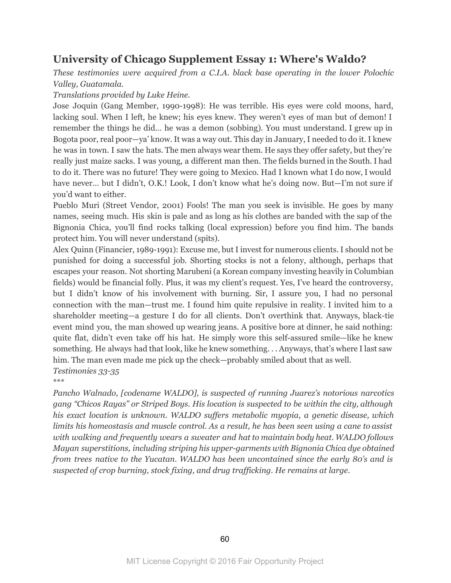#### **University of Chicago Supplement Essay 1: Where's Waldo?**

*These testimonies were acquired from a C.I.A. black base operating in the lower Polochic Valley, Guatamala.*

#### *Translations provided by Luke Heine.*

Jose Joquin (Gang Member, 1990-1998): He was terrible. His eyes were cold moons, hard, lacking soul. When I left, he knew; his eyes knew. They weren't eyes of man but of demon! I remember the things he did… he was a demon (sobbing). You must understand. I grew up in Bogota poor, real poor—ya' know. It was a way out. This day in January, I needed to do it. I knew he was in town. I saw the hats. The men always wear them. He says they offer safety, but they're really just maize sacks. I was young, a different man then. The fields burned in the South. I had to do it. There was no future! They were going to Mexico. Had I known what I do now, I would have never... but I didn't, O.K.! Look, I don't know what he's doing now. But—I'm not sure if you'd want to either.

Pueblo Muri (Street Vendor, 2001) Fools! The man you seek is invisible. He goes by many names, seeing much. His skin is pale and as long as his clothes are banded with the sap of the Bignonia Chica, you'll find rocks talking (local expression) before you find him. The bands protect him. You will never understand (spits).

Alex Quinn (Financier, 1989-1991): Excuse me, but I invest for numerous clients. I should not be punished for doing a successful job. Shorting stocks is not a felony, although, perhaps that escapes your reason. Not shorting Marubeni (a Korean company investing heavily in Columbian fields) would be financial folly. Plus, it was my client's request. Yes, I've heard the controversy, but I didn't know of his involvement with burning. Sir, I assure you, I had no personal connection with the man—trust me. I found him quite repulsive in reality. I invited him to a shareholder meeting—a gesture I do for all clients. Don't overthink that. Anyways, black-tie event mind you, the man showed up wearing jeans. A positive bore at dinner, he said nothing: quite flat, didn't even take off his hat. He simply wore this self-assured smile—like he knew something. He always had that look, like he knew something. . . Anyways, that's where I last saw him. The man even made me pick up the check—probably smiled about that as well.

*Testimonies 3335*

\*\*\*

*Pancho Walnado, [codename WALDO], is suspected of running Juarez's notorious narcotics gang "Chicos Rayas" or Striped Boys. His location is suspected to be within the city, although his exact location is unknown. WALDO suffers metabolic myopia, a genetic disease, which limits his homeostasis and muscle control. As a result, he has been seen using a cane to assist with walking and frequently wears a sweater and hat to maintain body heat. WALDO follows Mayan superstitions, including striping his uppergarments with Bignonia Chica dye obtained from trees native to the Yucatan. WALDO has been uncontained since the early 80's and is suspected of crop burning, stock fixing, and drug traf icking. He remains at large.*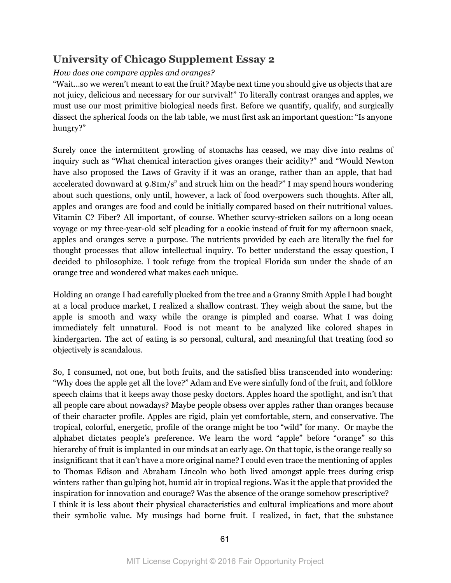#### **University of Chicago Supplement Essay 2**

#### *How does one compare apples and oranges?*

"Wait…so we weren't meant to eat the fruit? Maybe next time you should give us objects that are not juicy, delicious and necessary for our survival!" To literally contrast oranges and apples, we must use our most primitive biological needs first. Before we quantify, qualify, and surgically dissect the spherical foods on the lab table, we must first ask an important question: "Is anyone hungry?"

Surely once the intermittent growling of stomachs has ceased, we may dive into realms of inquiry such as "What chemical interaction gives oranges their acidity?" and "Would Newton have also proposed the Laws of Gravity if it was an orange, rather than an apple, that had accelerated downward at  $9.81 \text{m/s}^2$  and struck him on the head?" I may spend hours wondering about such questions, only until, however, a lack of food overpowers such thoughts. After all, apples and oranges are food and could be initially compared based on their nutritional values. Vitamin C? Fiber? All important, of course. Whether scurvy-stricken sailors on a long ocean voyage or my three-year-old self pleading for a cookie instead of fruit for my afternoon snack, apples and oranges serve a purpose. The nutrients provided by each are literally the fuel for thought processes that allow intellectual inquiry. To better understand the essay question, I decided to philosophize. I took refuge from the tropical Florida sun under the shade of an orange tree and wondered what makes each unique.

Holding an orange I had carefully plucked from the tree and a Granny Smith Apple I had bought at a local produce market, I realized a shallow contrast. They weigh about the same, but the apple is smooth and waxy while the orange is pimpled and coarse. What I was doing immediately felt unnatural. Food is not meant to be analyzed like colored shapes in kindergarten. The act of eating is so personal, cultural, and meaningful that treating food so objectively is scandalous.

So, I consumed, not one, but both fruits, and the satisfied bliss transcended into wondering: "Why does the apple get all the love?" Adam and Eve were sinfully fond of the fruit, and folklore speech claims that it keeps away those pesky doctors. Apples hoard the spotlight, and isn't that all people care about nowadays? Maybe people obsess over apples rather than oranges because of their character profile. Apples are rigid, plain yet comfortable, stern, and conservative. The tropical, colorful, energetic, profile of the orange might be too "wild" for many. Or maybe the alphabet dictates people's preference. We learn the word "apple" before "orange" so this hierarchy of fruit is implanted in our minds at an early age. On that topic, is the orange really so insignificant that it can't have a more original name? I could even trace the mentioning of apples to Thomas Edison and Abraham Lincoln who both lived amongst apple trees during crisp winters rather than gulping hot, humid air in tropical regions. Was it the apple that provided the inspiration for innovation and courage? Was the absence of the orange somehow prescriptive? I think it is less about their physical characteristics and cultural implications and more about their symbolic value. My musings had borne fruit. I realized, in fact, that the substance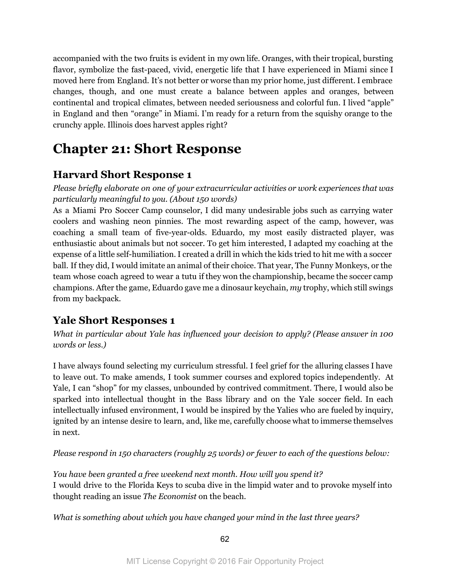accompanied with the two fruits is evident in my own life. Oranges, with their tropical, bursting flavor, symbolize the fast-paced, vivid, energetic life that I have experienced in Miami since I moved here from England. It's not better or worse than my prior home, just different. I embrace changes, though, and one must create a balance between apples and oranges, between continental and tropical climates, between needed seriousness and colorful fun. I lived "apple" in England and then "orange" in Miami. I'm ready for a return from the squishy orange to the crunchy apple. Illinois does harvest apples right?

### **Chapter 21: Short Response**

#### **Harvard Short Response 1**

*Please briefly elaborate on one of your extracurricular activities or work experiences that was particularly meaningful to you. (About 150 words)*

As a Miami Pro Soccer Camp counselor, I did many undesirable jobs such as carrying water coolers and washing neon pinnies. The most rewarding aspect of the camp, however, was coaching a small team of five-year-olds. Eduardo, my most easily distracted player, was enthusiastic about animals but not soccer. To get him interested, I adapted my coaching at the expense of a little self-humiliation. I created a drill in which the kids tried to hit me with a soccer ball. If they did, I would imitate an animal of their choice. That year, The Funny Monkeys, or the team whose coach agreed to wear a tutu if they won the championship, became the soccer camp champions. After the game, Eduardo gave me a dinosaur keychain, *my* trophy, which still swings from my backpack.

#### **Yale Short Responses 1**

*What in particular about Yale has influenced your decision to apply? (Please answer in 100 words or less.)*

I have always found selecting my curriculum stressful. I feel grief for the alluring classes I have to leave out. To make amends, I took summer courses and explored topics independently. At Yale, I can "shop" for my classes, unbounded by contrived commitment. There, I would also be sparked into intellectual thought in the Bass library and on the Yale soccer field. In each intellectually infused environment, I would be inspired by the Yalies who are fueled by inquiry, ignited by an intense desire to learn, and, like me, carefully choose what to immerse themselves in next.

*Please respond in 150 characters (roughly 25 words) or fewer to each of the questions below:*

*You have been granted a free weekend next month. How will you spend it?* I would drive to the Florida Keys to scuba dive in the limpid water and to provoke myself into thought reading an issue *The Economist* on the beach.

*What is something about which you have changed your mind in the last three years?*

62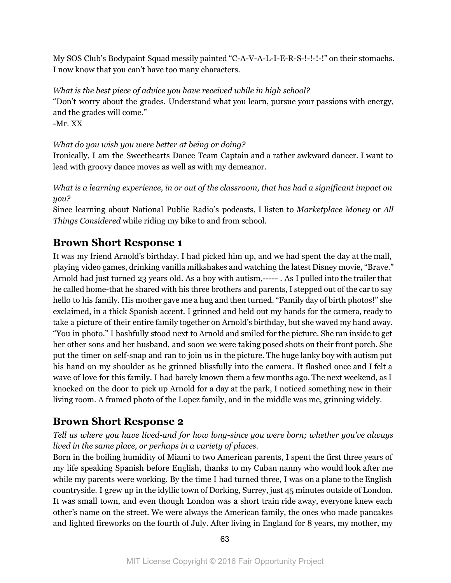My SOS Club's Bodypaint Squad messily painted "C-A-V-A-L-I-E-R-S-!-!-!-!" on their stomachs. I now know that you can't have too many characters.

*What is the best piece of advice you have received while in high school?*

"Don't worry about the grades. Understand what you learn, pursue your passions with energy, and the grades will come."

Mr. XX

*What do you wish you were better at being or doing?*

Ironically, I am the Sweethearts Dance Team Captain and a rather awkward dancer. I want to lead with groovy dance moves as well as with my demeanor.

*What is a learning experience, in or out of the classroom, that has had a significant impact on you?*

Since learning about National Public Radio's podcasts, I listen to *Marketplace Money* or *All Things Considered* while riding my bike to and from school.

### **Brown Short Response 1**

It was my friend Arnold's birthday. I had picked him up, and we had spent the day at the mall, playing video games, drinking vanilla milkshakes and watching the latest Disney movie, "Brave." Arnold had just turned 23 years old. As a boy with autism, ----- . As I pulled into the trailer that he called home-that he shared with his three brothers and parents, I stepped out of the car to say hello to his family. His mother gave me a hug and then turned. "Family day of birth photos!" she exclaimed, in a thick Spanish accent. I grinned and held out my hands for the camera, ready to take a picture of their entire family together on Arnold's birthday, but she waved my hand away. "You in photo." I bashfully stood next to Arnold and smiled for the picture. She ran inside to get her other sons and her husband, and soon we were taking posed shots on their front porch. She put the timer on self-snap and ran to join us in the picture. The huge lanky boy with autism put his hand on my shoulder as he grinned blissfully into the camera. It flashed once and I felt a wave of love for this family. I had barely known them a few months ago. The next weekend, as I knocked on the door to pick up Arnold for a day at the park, I noticed something new in their living room. A framed photo of the Lopez family, and in the middle was me, grinning widely.

### **Brown Short Response 2**

*Tell* us where you have lived-and for how long-since you were born; whether you've always *lived in the same place, or perhaps in a variety of places.*

Born in the boiling humidity of Miami to two American parents, I spent the first three years of my life speaking Spanish before English, thanks to my Cuban nanny who would look after me while my parents were working. By the time I had turned three, I was on a plane to the English countryside. I grew up in the idyllic town of Dorking, Surrey, just 45 minutes outside of London. It was small town, and even though London was a short train ride away, everyone knew each other's name on the street. We were always the American family, the ones who made pancakes and lighted fireworks on the fourth of July. After living in England for 8 years, my mother, my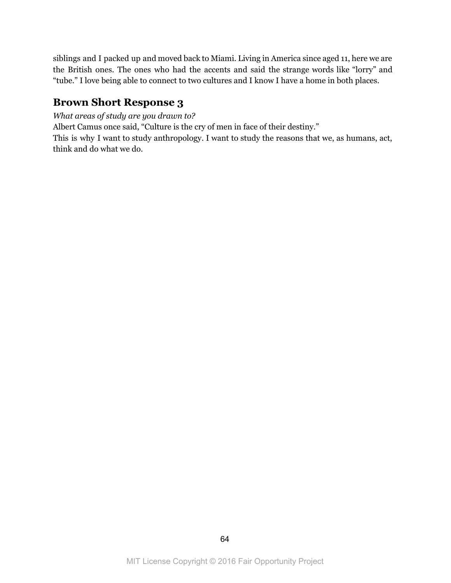siblings and I packed up and moved back to Miami. Living in America since aged 11, here we are the British ones. The ones who had the accents and said the strange words like "lorry" and "tube." I love being able to connect to two cultures and I know I have a home in both places.

#### **Brown Short Response 3**

*What areas of study are you drawn to?*

Albert Camus once said, "Culture is the cry of men in face of their destiny."

This is why I want to study anthropology. I want to study the reasons that we, as humans, act, think and do what we do.